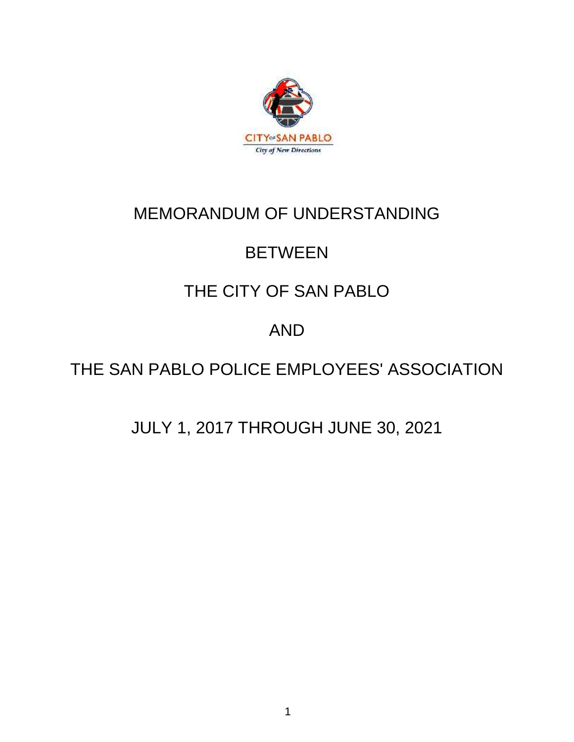

# MEMORANDUM OF UNDERSTANDING

# **BETWEEN**

# THE CITY OF SAN PABLO

# AND

# THE SAN PABLO POLICE EMPLOYEES' ASSOCIATION

# JULY 1, 2017 THROUGH JUNE 30, 2021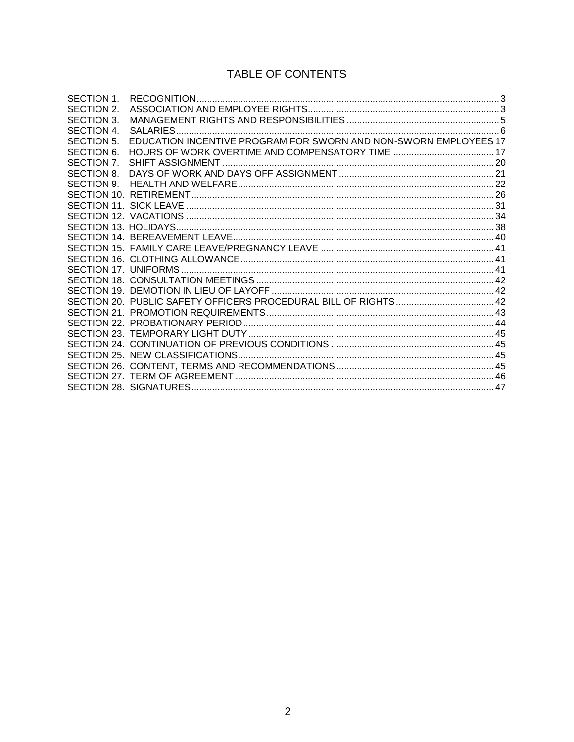# TABLE OF CONTENTS

| SECTION 1.        |                                                                  |  |
|-------------------|------------------------------------------------------------------|--|
| SECTION 2.        |                                                                  |  |
| SECTION 3.        |                                                                  |  |
| SECTION 4.        |                                                                  |  |
| SECTION 5.        | EDUCATION INCENTIVE PROGRAM FOR SWORN AND NON-SWORN EMPLOYEES 17 |  |
| <b>SECTION 6.</b> |                                                                  |  |
| SECTION 7.        |                                                                  |  |
| SECTION 8.        |                                                                  |  |
| SECTION 9.        |                                                                  |  |
|                   |                                                                  |  |
|                   |                                                                  |  |
|                   |                                                                  |  |
|                   |                                                                  |  |
|                   |                                                                  |  |
|                   |                                                                  |  |
|                   |                                                                  |  |
|                   |                                                                  |  |
|                   |                                                                  |  |
|                   |                                                                  |  |
|                   |                                                                  |  |
|                   |                                                                  |  |
|                   |                                                                  |  |
|                   |                                                                  |  |
|                   |                                                                  |  |
|                   |                                                                  |  |
|                   |                                                                  |  |
|                   |                                                                  |  |
|                   |                                                                  |  |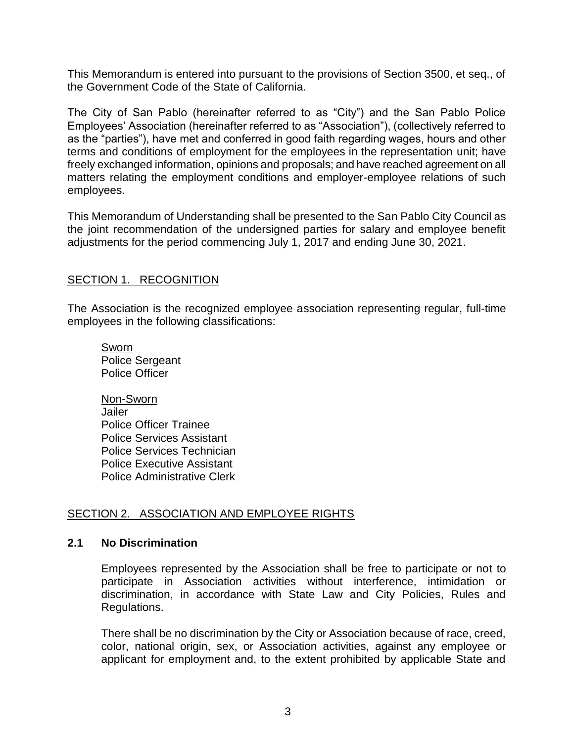This Memorandum is entered into pursuant to the provisions of Section 3500, et seq., of the Government Code of the State of California.

The City of San Pablo (hereinafter referred to as "City") and the San Pablo Police Employees' Association (hereinafter referred to as "Association"), (collectively referred to as the "parties"), have met and conferred in good faith regarding wages, hours and other terms and conditions of employment for the employees in the representation unit; have freely exchanged information, opinions and proposals; and have reached agreement on all matters relating the employment conditions and employer-employee relations of such employees.

This Memorandum of Understanding shall be presented to the San Pablo City Council as the joint recommendation of the undersigned parties for salary and employee benefit adjustments for the period commencing July 1, 2017 and ending June 30, 2021.

### <span id="page-2-0"></span>SECTION 1. RECOGNITION

The Association is the recognized employee association representing regular, full-time employees in the following classifications:

Sworn Police Sergeant Police Officer

Non-Sworn Jailer Police Officer Trainee Police Services Assistant Police Services Technician Police Executive Assistant Police Administrative Clerk

# <span id="page-2-1"></span>SECTION 2. ASSOCIATION AND EMPLOYEE RIGHTS

#### **2.1 No Discrimination**

Employees represented by the Association shall be free to participate or not to participate in Association activities without interference, intimidation or discrimination, in accordance with State Law and City Policies, Rules and Regulations.

There shall be no discrimination by the City or Association because of race, creed, color, national origin, sex, or Association activities, against any employee or applicant for employment and, to the extent prohibited by applicable State and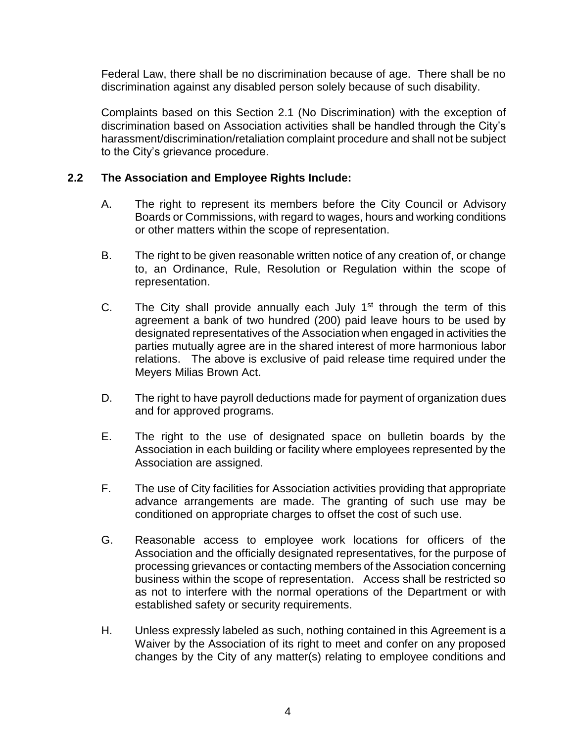Federal Law, there shall be no discrimination because of age. There shall be no discrimination against any disabled person solely because of such disability.

Complaints based on this Section 2.1 (No Discrimination) with the exception of discrimination based on Association activities shall be handled through the City's harassment/discrimination/retaliation complaint procedure and shall not be subject to the City's grievance procedure.

#### **2.2 The Association and Employee Rights Include:**

- A. The right to represent its members before the City Council or Advisory Boards or Commissions, with regard to wages, hours and working conditions or other matters within the scope of representation.
- B. The right to be given reasonable written notice of any creation of, or change to, an Ordinance, Rule, Resolution or Regulation within the scope of representation.
- C. The City shall provide annually each July  $1<sup>st</sup>$  through the term of this agreement a bank of two hundred (200) paid leave hours to be used by designated representatives of the Association when engaged in activities the parties mutually agree are in the shared interest of more harmonious labor relations. The above is exclusive of paid release time required under the Meyers Milias Brown Act.
- D. The right to have payroll deductions made for payment of organization dues and for approved programs.
- E. The right to the use of designated space on bulletin boards by the Association in each building or facility where employees represented by the Association are assigned.
- F. The use of City facilities for Association activities providing that appropriate advance arrangements are made. The granting of such use may be conditioned on appropriate charges to offset the cost of such use.
- G. Reasonable access to employee work locations for officers of the Association and the officially designated representatives, for the purpose of processing grievances or contacting members of the Association concerning business within the scope of representation. Access shall be restricted so as not to interfere with the normal operations of the Department or with established safety or security requirements.
- H. Unless expressly labeled as such, nothing contained in this Agreement is a Waiver by the Association of its right to meet and confer on any proposed changes by the City of any matter(s) relating to employee conditions and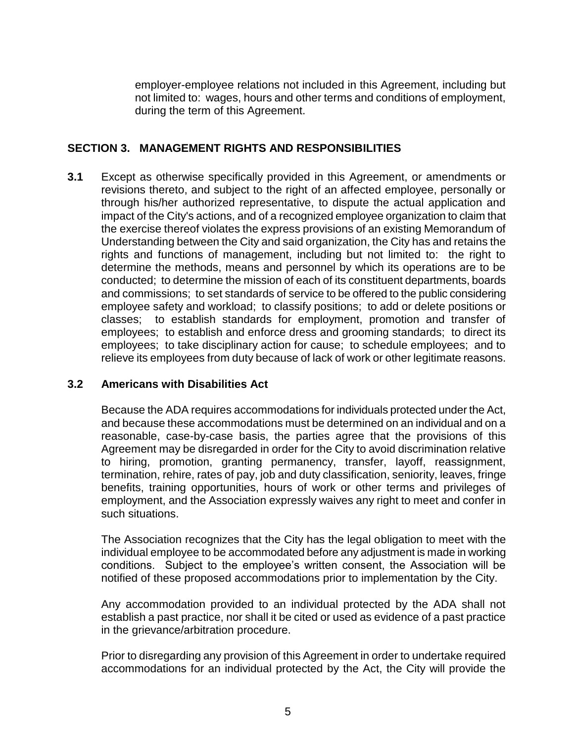employer-employee relations not included in this Agreement, including but not limited to: wages, hours and other terms and conditions of employment, during the term of this Agreement.

# <span id="page-4-0"></span>**SECTION 3. MANAGEMENT RIGHTS AND RESPONSIBILITIES**

**3.1** Except as otherwise specifically provided in this Agreement, or amendments or revisions thereto, and subject to the right of an affected employee, personally or through his/her authorized representative, to dispute the actual application and impact of the City's actions, and of a recognized employee organization to claim that the exercise thereof violates the express provisions of an existing Memorandum of Understanding between the City and said organization, the City has and retains the rights and functions of management, including but not limited to: the right to determine the methods, means and personnel by which its operations are to be conducted; to determine the mission of each of its constituent departments, boards and commissions; to set standards of service to be offered to the public considering employee safety and workload; to classify positions; to add or delete positions or classes; to establish standards for employment, promotion and transfer of employees; to establish and enforce dress and grooming standards; to direct its employees; to take disciplinary action for cause; to schedule employees; and to relieve its employees from duty because of lack of work or other legitimate reasons.

#### **3.2 Americans with Disabilities Act**

Because the ADA requires accommodations for individuals protected under the Act, and because these accommodations must be determined on an individual and on a reasonable, case-by-case basis, the parties agree that the provisions of this Agreement may be disregarded in order for the City to avoid discrimination relative to hiring, promotion, granting permanency, transfer, layoff, reassignment, termination, rehire, rates of pay, job and duty classification, seniority, leaves, fringe benefits, training opportunities, hours of work or other terms and privileges of employment, and the Association expressly waives any right to meet and confer in such situations.

The Association recognizes that the City has the legal obligation to meet with the individual employee to be accommodated before any adjustment is made in working conditions. Subject to the employee's written consent, the Association will be notified of these proposed accommodations prior to implementation by the City.

Any accommodation provided to an individual protected by the ADA shall not establish a past practice, nor shall it be cited or used as evidence of a past practice in the grievance/arbitration procedure.

Prior to disregarding any provision of this Agreement in order to undertake required accommodations for an individual protected by the Act, the City will provide the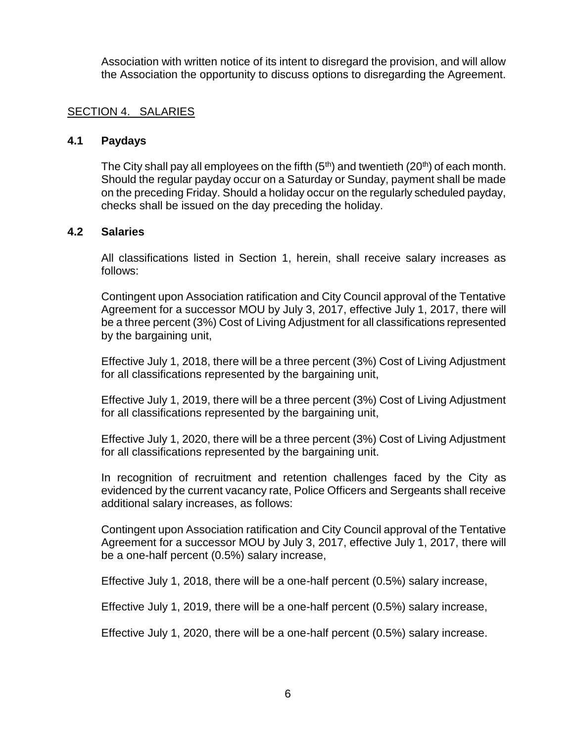Association with written notice of its intent to disregard the provision, and will allow the Association the opportunity to discuss options to disregarding the Agreement.

#### <span id="page-5-0"></span>SECTION 4. SALARIES

#### **4.1 Paydays**

The City shall pay all employees on the fifth  $(5<sup>th</sup>)$  and twentieth  $(20<sup>th</sup>)$  of each month. Should the regular payday occur on a Saturday or Sunday, payment shall be made on the preceding Friday. Should a holiday occur on the regularly scheduled payday, checks shall be issued on the day preceding the holiday.

#### **4.2 Salaries**

All classifications listed in Section 1, herein, shall receive salary increases as follows:

Contingent upon Association ratification and City Council approval of the Tentative Agreement for a successor MOU by July 3, 2017, effective July 1, 2017, there will be a three percent (3%) Cost of Living Adjustment for all classifications represented by the bargaining unit,

Effective July 1, 2018, there will be a three percent (3%) Cost of Living Adjustment for all classifications represented by the bargaining unit,

Effective July 1, 2019, there will be a three percent (3%) Cost of Living Adjustment for all classifications represented by the bargaining unit,

Effective July 1, 2020, there will be a three percent (3%) Cost of Living Adjustment for all classifications represented by the bargaining unit.

In recognition of recruitment and retention challenges faced by the City as evidenced by the current vacancy rate, Police Officers and Sergeants shall receive additional salary increases, as follows:

Contingent upon Association ratification and City Council approval of the Tentative Agreement for a successor MOU by July 3, 2017, effective July 1, 2017, there will be a one-half percent (0.5%) salary increase,

Effective July 1, 2018, there will be a one-half percent (0.5%) salary increase,

Effective July 1, 2019, there will be a one-half percent (0.5%) salary increase,

Effective July 1, 2020, there will be a one-half percent (0.5%) salary increase.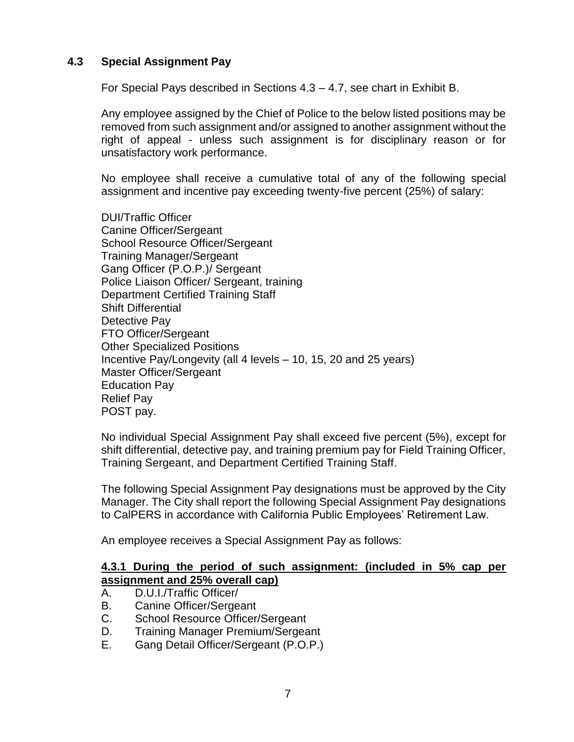### **4.3 Special Assignment Pay**

For Special Pays described in Sections 4.3 – 4.7, see chart in Exhibit B.

Any employee assigned by the Chief of Police to the below listed positions may be removed from such assignment and/or assigned to another assignment without the right of appeal - unless such assignment is for disciplinary reason or for unsatisfactory work performance.

No employee shall receive a cumulative total of any of the following special assignment and incentive pay exceeding twenty-five percent (25%) of salary:

DUI/Traffic Officer Canine Officer/Sergeant School Resource Officer/Sergeant Training Manager/Sergeant Gang Officer (P.O.P.)/ Sergeant Police Liaison Officer/ Sergeant, training Department Certified Training Staff Shift Differential Detective Pay FTO Officer/Sergeant Other Specialized Positions Incentive Pay/Longevity (all 4 levels – 10, 15, 20 and 25 years) Master Officer/Sergeant Education Pay Relief Pay POST pay.

No individual Special Assignment Pay shall exceed five percent (5%), except for shift differential, detective pay, and training premium pay for Field Training Officer, Training Sergeant, and Department Certified Training Staff.

The following Special Assignment Pay designations must be approved by the City Manager. The City shall report the following Special Assignment Pay designations to CalPERS in accordance with California Public Employees' Retirement Law.

An employee receives a Special Assignment Pay as follows:

#### **4.3.1 During the period of such assignment: (included in 5% cap per assignment and 25% overall cap)**

- A. D.U.I./Traffic Officer/
- B. Canine Officer/Sergeant
- C. School Resource Officer/Sergeant
- D. Training Manager Premium/Sergeant
- E. Gang Detail Officer/Sergeant (P.O.P.)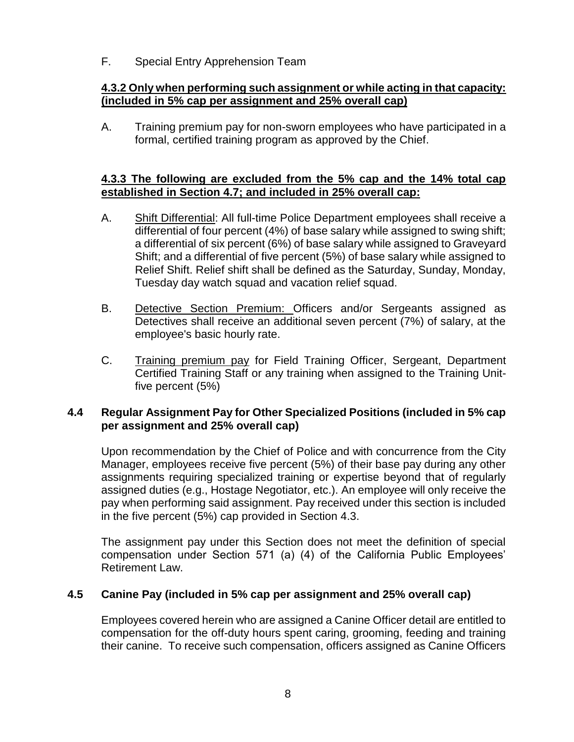F. Special Entry Apprehension Team

# **4.3.2 Only when performing such assignment or while acting in that capacity: (included in 5% cap per assignment and 25% overall cap)**

A. Training premium pay for non-sworn employees who have participated in a formal, certified training program as approved by the Chief.

# **4.3.3 The following are excluded from the 5% cap and the 14% total cap established in Section 4.7; and included in 25% overall cap:**

- A. Shift Differential: All full-time Police Department employees shall receive a differential of four percent (4%) of base salary while assigned to swing shift; a differential of six percent (6%) of base salary while assigned to Graveyard Shift; and a differential of five percent (5%) of base salary while assigned to Relief Shift. Relief shift shall be defined as the Saturday, Sunday, Monday, Tuesday day watch squad and vacation relief squad.
- B. Detective Section Premium: Officers and/or Sergeants assigned as Detectives shall receive an additional seven percent (7%) of salary, at the employee's basic hourly rate.
- C. Training premium pay for Field Training Officer, Sergeant, Department Certified Training Staff or any training when assigned to the Training Unitfive percent (5%)

# **4.4 Regular Assignment Pay for Other Specialized Positions (included in 5% cap per assignment and 25% overall cap)**

Upon recommendation by the Chief of Police and with concurrence from the City Manager, employees receive five percent (5%) of their base pay during any other assignments requiring specialized training or expertise beyond that of regularly assigned duties (e.g., Hostage Negotiator, etc.). An employee will only receive the pay when performing said assignment. Pay received under this section is included in the five percent (5%) cap provided in Section 4.3.

The assignment pay under this Section does not meet the definition of special compensation under Section 571 (a) (4) of the California Public Employees' Retirement Law.

# **4.5 Canine Pay (included in 5% cap per assignment and 25% overall cap)**

Employees covered herein who are assigned a Canine Officer detail are entitled to compensation for the off-duty hours spent caring, grooming, feeding and training their canine. To receive such compensation, officers assigned as Canine Officers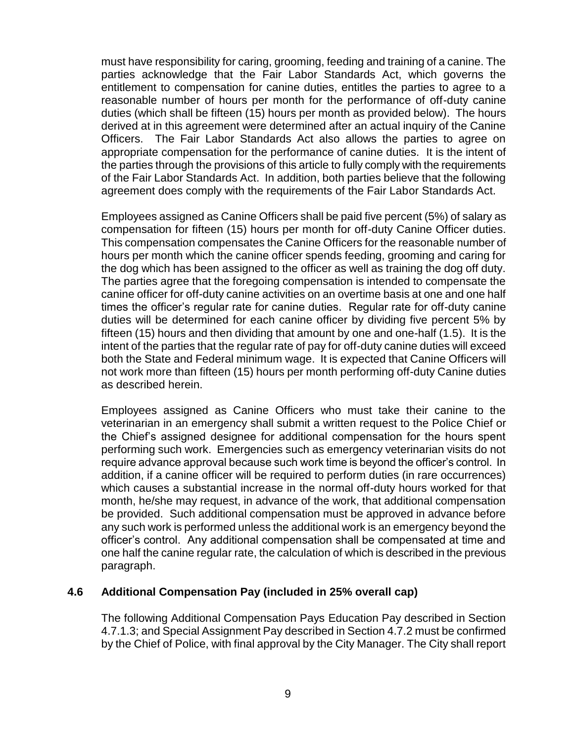must have responsibility for caring, grooming, feeding and training of a canine. The parties acknowledge that the Fair Labor Standards Act, which governs the entitlement to compensation for canine duties, entitles the parties to agree to a reasonable number of hours per month for the performance of off-duty canine duties (which shall be fifteen (15) hours per month as provided below). The hours derived at in this agreement were determined after an actual inquiry of the Canine Officers. The Fair Labor Standards Act also allows the parties to agree on appropriate compensation for the performance of canine duties. It is the intent of the parties through the provisions of this article to fully comply with the requirements of the Fair Labor Standards Act. In addition, both parties believe that the following agreement does comply with the requirements of the Fair Labor Standards Act.

Employees assigned as Canine Officers shall be paid five percent (5%) of salary as compensation for fifteen (15) hours per month for off-duty Canine Officer duties. This compensation compensates the Canine Officers for the reasonable number of hours per month which the canine officer spends feeding, grooming and caring for the dog which has been assigned to the officer as well as training the dog off duty. The parties agree that the foregoing compensation is intended to compensate the canine officer for off-duty canine activities on an overtime basis at one and one half times the officer's regular rate for canine duties. Regular rate for off-duty canine duties will be determined for each canine officer by dividing five percent 5% by fifteen (15) hours and then dividing that amount by one and one-half (1.5). It is the intent of the parties that the regular rate of pay for off-duty canine duties will exceed both the State and Federal minimum wage. It is expected that Canine Officers will not work more than fifteen (15) hours per month performing off-duty Canine duties as described herein.

Employees assigned as Canine Officers who must take their canine to the veterinarian in an emergency shall submit a written request to the Police Chief or the Chief's assigned designee for additional compensation for the hours spent performing such work. Emergencies such as emergency veterinarian visits do not require advance approval because such work time is beyond the officer's control. In addition, if a canine officer will be required to perform duties (in rare occurrences) which causes a substantial increase in the normal off-duty hours worked for that month, he/she may request, in advance of the work, that additional compensation be provided. Such additional compensation must be approved in advance before any such work is performed unless the additional work is an emergency beyond the officer's control. Any additional compensation shall be compensated at time and one half the canine regular rate, the calculation of which is described in the previous paragraph.

#### **4.6 Additional Compensation Pay (included in 25% overall cap)**

The following Additional Compensation Pays Education Pay described in Section 4.7.1.3; and Special Assignment Pay described in Section 4.7.2 must be confirmed by the Chief of Police, with final approval by the City Manager. The City shall report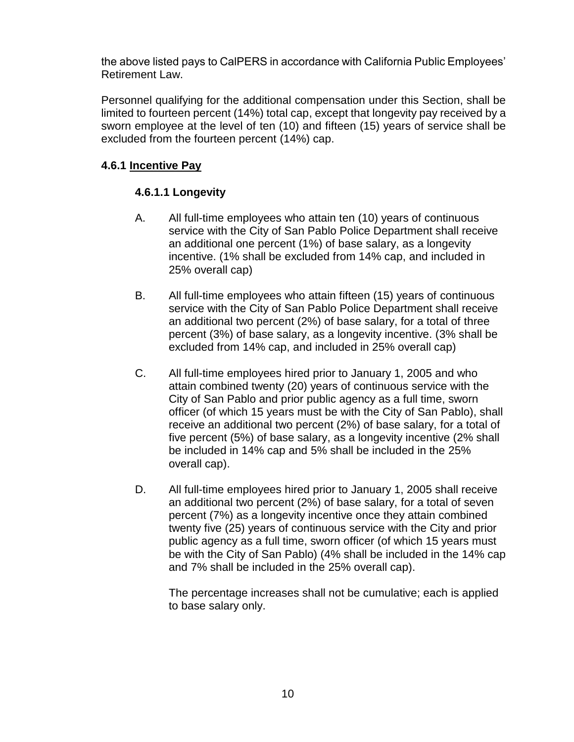the above listed pays to CalPERS in accordance with California Public Employees' Retirement Law.

Personnel qualifying for the additional compensation under this Section, shall be limited to fourteen percent (14%) total cap, except that longevity pay received by a sworn employee at the level of ten (10) and fifteen (15) years of service shall be excluded from the fourteen percent (14%) cap.

# **4.6.1 Incentive Pay**

# **4.6.1.1 Longevity**

- A. All full-time employees who attain ten (10) years of continuous service with the City of San Pablo Police Department shall receive an additional one percent (1%) of base salary, as a longevity incentive. (1% shall be excluded from 14% cap, and included in 25% overall cap)
- B. All full-time employees who attain fifteen (15) years of continuous service with the City of San Pablo Police Department shall receive an additional two percent (2%) of base salary, for a total of three percent (3%) of base salary, as a longevity incentive. (3% shall be excluded from 14% cap, and included in 25% overall cap)
- C. All full-time employees hired prior to January 1, 2005 and who attain combined twenty (20) years of continuous service with the City of San Pablo and prior public agency as a full time, sworn officer (of which 15 years must be with the City of San Pablo), shall receive an additional two percent (2%) of base salary, for a total of five percent (5%) of base salary, as a longevity incentive (2% shall be included in 14% cap and 5% shall be included in the 25% overall cap).
- D. All full-time employees hired prior to January 1, 2005 shall receive an additional two percent (2%) of base salary, for a total of seven percent (7%) as a longevity incentive once they attain combined twenty five (25) years of continuous service with the City and prior public agency as a full time, sworn officer (of which 15 years must be with the City of San Pablo) (4% shall be included in the 14% cap and 7% shall be included in the 25% overall cap).

The percentage increases shall not be cumulative; each is applied to base salary only.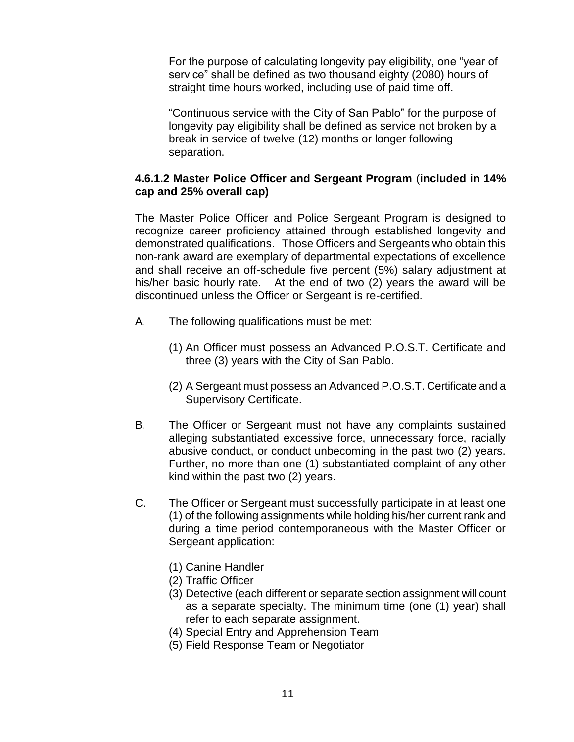For the purpose of calculating longevity pay eligibility, one "year of service" shall be defined as two thousand eighty (2080) hours of straight time hours worked, including use of paid time off.

"Continuous service with the City of San Pablo" for the purpose of longevity pay eligibility shall be defined as service not broken by a break in service of twelve (12) months or longer following separation.

#### **4.6.1.2 Master Police Officer and Sergeant Program** (**included in 14% cap and 25% overall cap)**

The Master Police Officer and Police Sergeant Program is designed to recognize career proficiency attained through established longevity and demonstrated qualifications. Those Officers and Sergeants who obtain this non-rank award are exemplary of departmental expectations of excellence and shall receive an off-schedule five percent (5%) salary adjustment at his/her basic hourly rate. At the end of two (2) years the award will be discontinued unless the Officer or Sergeant is re-certified.

- A. The following qualifications must be met:
	- (1) An Officer must possess an Advanced P.O.S.T. Certificate and three (3) years with the City of San Pablo.
	- (2) A Sergeant must possess an Advanced P.O.S.T. Certificate and a Supervisory Certificate.
- B. The Officer or Sergeant must not have any complaints sustained alleging substantiated excessive force, unnecessary force, racially abusive conduct, or conduct unbecoming in the past two (2) years. Further, no more than one (1) substantiated complaint of any other kind within the past two (2) years.
- C. The Officer or Sergeant must successfully participate in at least one (1) of the following assignments while holding his/her current rank and during a time period contemporaneous with the Master Officer or Sergeant application:
	- (1) Canine Handler
	- (2) Traffic Officer
	- (3) Detective (each different or separate section assignment will count as a separate specialty. The minimum time (one (1) year) shall refer to each separate assignment.
	- (4) Special Entry and Apprehension Team
	- (5) Field Response Team or Negotiator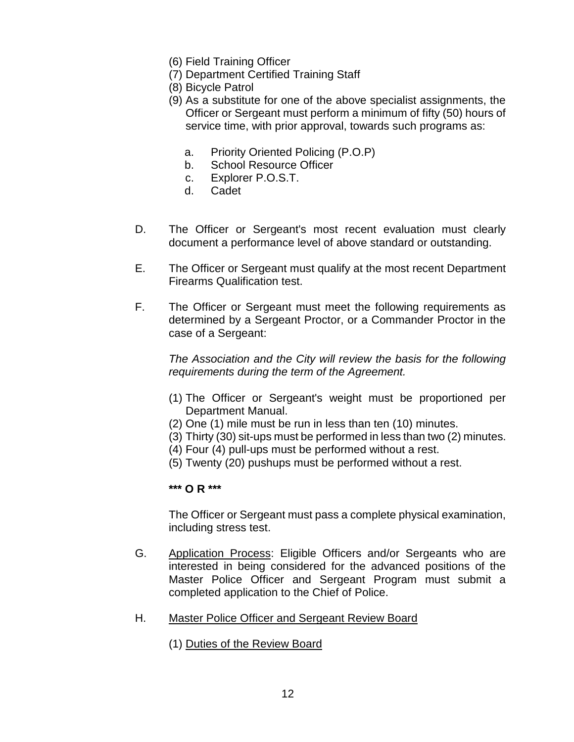- (6) Field Training Officer
- (7) Department Certified Training Staff
- (8) Bicycle Patrol
- (9) As a substitute for one of the above specialist assignments, the Officer or Sergeant must perform a minimum of fifty (50) hours of service time, with prior approval, towards such programs as:
	- a. Priority Oriented Policing (P.O.P)
	- b. School Resource Officer
	- c. Explorer P.O.S.T.
	- d. Cadet
- D. The Officer or Sergeant's most recent evaluation must clearly document a performance level of above standard or outstanding.
- E. The Officer or Sergeant must qualify at the most recent Department Firearms Qualification test.
- F. The Officer or Sergeant must meet the following requirements as determined by a Sergeant Proctor, or a Commander Proctor in the case of a Sergeant:

*The Association and the City will review the basis for the following requirements during the term of the Agreement.* 

- (1) The Officer or Sergeant's weight must be proportioned per Department Manual.
- (2) One (1) mile must be run in less than ten (10) minutes.
- (3) Thirty (30) sit-ups must be performed in less than two (2) minutes.
- (4) Four (4) pull-ups must be performed without a rest.
- (5) Twenty (20) pushups must be performed without a rest.

**\*\*\* O R \*\*\***

The Officer or Sergeant must pass a complete physical examination, including stress test.

- G. Application Process: Eligible Officers and/or Sergeants who are interested in being considered for the advanced positions of the Master Police Officer and Sergeant Program must submit a completed application to the Chief of Police.
- H. Master Police Officer and Sergeant Review Board
	- (1) Duties of the Review Board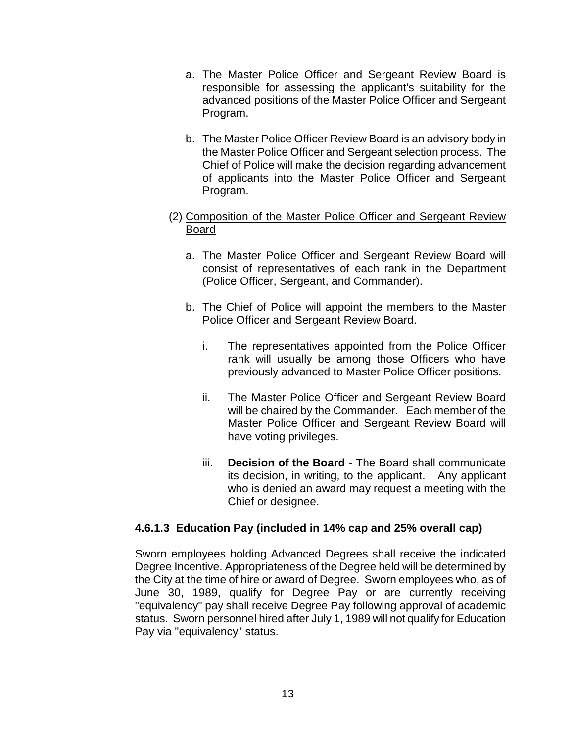- a. The Master Police Officer and Sergeant Review Board is responsible for assessing the applicant's suitability for the advanced positions of the Master Police Officer and Sergeant Program.
- b. The Master Police Officer Review Board is an advisory body in the Master Police Officer and Sergeant selection process. The Chief of Police will make the decision regarding advancement of applicants into the Master Police Officer and Sergeant Program.
- (2) Composition of the Master Police Officer and Sergeant Review Board
	- a. The Master Police Officer and Sergeant Review Board will consist of representatives of each rank in the Department (Police Officer, Sergeant, and Commander).
	- b. The Chief of Police will appoint the members to the Master Police Officer and Sergeant Review Board.
		- i. The representatives appointed from the Police Officer rank will usually be among those Officers who have previously advanced to Master Police Officer positions.
		- ii. The Master Police Officer and Sergeant Review Board will be chaired by the Commander. Each member of the Master Police Officer and Sergeant Review Board will have voting privileges.
		- iii. **Decision of the Board** The Board shall communicate its decision, in writing, to the applicant. Any applicant who is denied an award may request a meeting with the Chief or designee.

# **4.6.1.3 Education Pay (included in 14% cap and 25% overall cap)**

Sworn employees holding Advanced Degrees shall receive the indicated Degree Incentive. Appropriateness of the Degree held will be determined by the City at the time of hire or award of Degree. Sworn employees who, as of June 30, 1989, qualify for Degree Pay or are currently receiving "equivalency" pay shall receive Degree Pay following approval of academic status. Sworn personnel hired after July 1, 1989 will not qualify for Education Pay via "equivalency" status.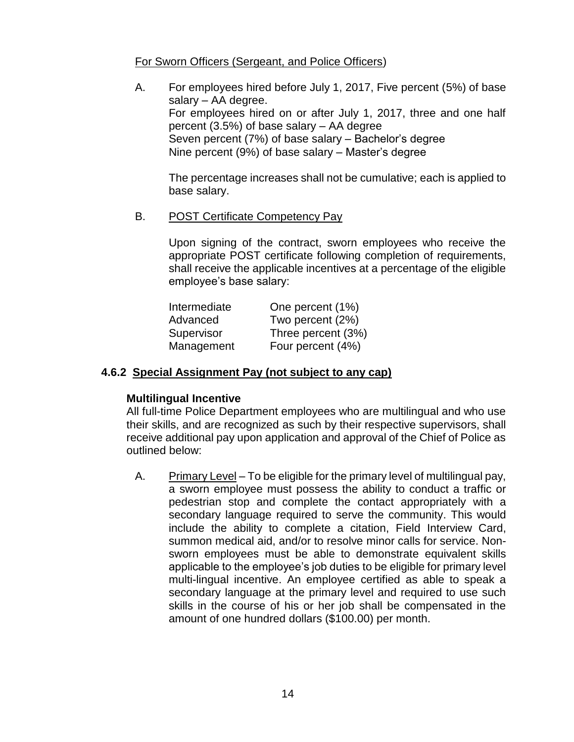#### For Sworn Officers (Sergeant, and Police Officers)

A. For employees hired before July 1, 2017, Five percent (5%) of base salary – AA degree. For employees hired on or after July 1, 2017, three and one half percent (3.5%) of base salary – AA degree Seven percent (7%) of base salary – Bachelor's degree Nine percent (9%) of base salary – Master's degree

The percentage increases shall not be cumulative; each is applied to base salary.

#### B. POST Certificate Competency Pay

Upon signing of the contract, sworn employees who receive the appropriate POST certificate following completion of requirements, shall receive the applicable incentives at a percentage of the eligible employee's base salary:

| Intermediate | One percent (1%)   |
|--------------|--------------------|
| Advanced     | Two percent (2%)   |
| Supervisor   | Three percent (3%) |
| Management   | Four percent (4%)  |

#### **4.6.2 Special Assignment Pay (not subject to any cap)**

#### **Multilingual Incentive**

All full-time Police Department employees who are multilingual and who use their skills, and are recognized as such by their respective supervisors, shall receive additional pay upon application and approval of the Chief of Police as outlined below:

A. Primary Level – To be eligible for the primary level of multilingual pay, a sworn employee must possess the ability to conduct a traffic or pedestrian stop and complete the contact appropriately with a secondary language required to serve the community. This would include the ability to complete a citation, Field Interview Card, summon medical aid, and/or to resolve minor calls for service. Nonsworn employees must be able to demonstrate equivalent skills applicable to the employee's job duties to be eligible for primary level multi-lingual incentive. An employee certified as able to speak a secondary language at the primary level and required to use such skills in the course of his or her job shall be compensated in the amount of one hundred dollars (\$100.00) per month.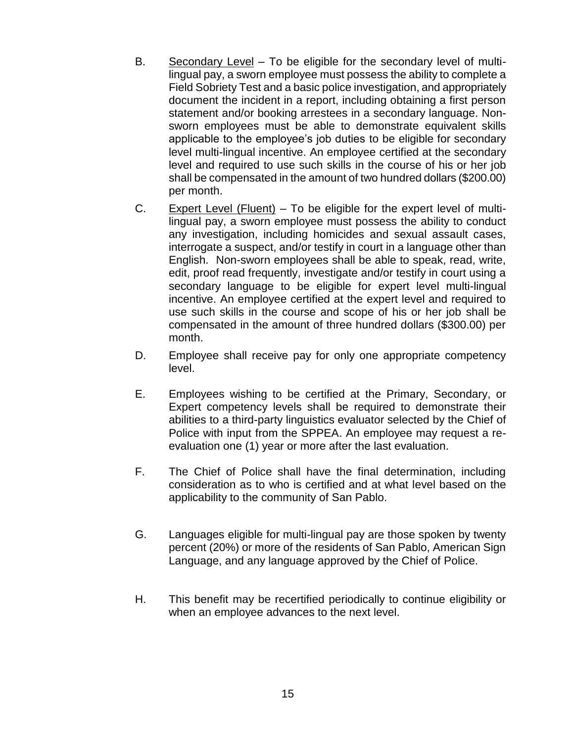- B. Secondary Level To be eligible for the secondary level of multilingual pay, a sworn employee must possess the ability to complete a Field Sobriety Test and a basic police investigation, and appropriately document the incident in a report, including obtaining a first person statement and/or booking arrestees in a secondary language. Nonsworn employees must be able to demonstrate equivalent skills applicable to the employee's job duties to be eligible for secondary level multi-lingual incentive. An employee certified at the secondary level and required to use such skills in the course of his or her job shall be compensated in the amount of two hundred dollars (\$200.00) per month.
- C. Expert Level (Fluent) To be eligible for the expert level of multilingual pay, a sworn employee must possess the ability to conduct any investigation, including homicides and sexual assault cases, interrogate a suspect, and/or testify in court in a language other than English. Non-sworn employees shall be able to speak, read, write, edit, proof read frequently, investigate and/or testify in court using a secondary language to be eligible for expert level multi-lingual incentive. An employee certified at the expert level and required to use such skills in the course and scope of his or her job shall be compensated in the amount of three hundred dollars (\$300.00) per month.
- D. Employee shall receive pay for only one appropriate competency level.
- E. Employees wishing to be certified at the Primary, Secondary, or Expert competency levels shall be required to demonstrate their abilities to a third-party linguistics evaluator selected by the Chief of Police with input from the SPPEA. An employee may request a reevaluation one (1) year or more after the last evaluation.
- F. The Chief of Police shall have the final determination, including consideration as to who is certified and at what level based on the applicability to the community of San Pablo.
- G. Languages eligible for multi-lingual pay are those spoken by twenty percent (20%) or more of the residents of San Pablo, American Sign Language, and any language approved by the Chief of Police.
- H. This benefit may be recertified periodically to continue eligibility or when an employee advances to the next level.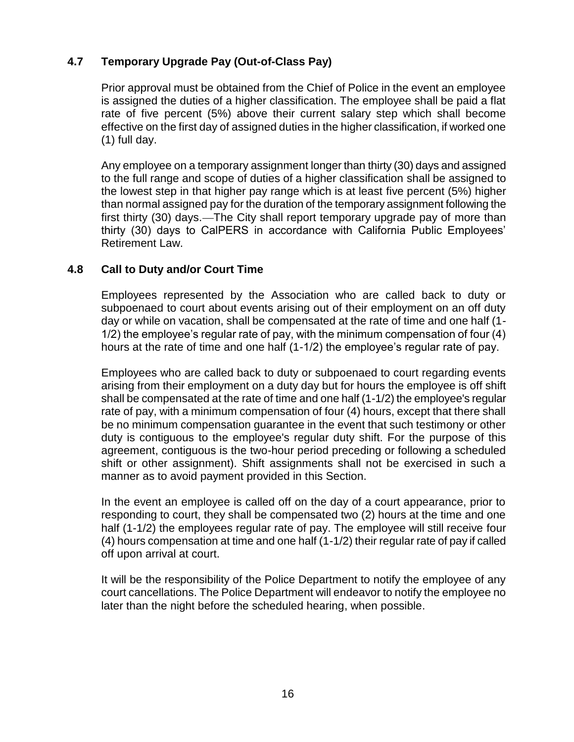# **4.7 Temporary Upgrade Pay (Out-of-Class Pay)**

Prior approval must be obtained from the Chief of Police in the event an employee is assigned the duties of a higher classification. The employee shall be paid a flat rate of five percent (5%) above their current salary step which shall become effective on the first day of assigned duties in the higher classification, if worked one (1) full day.

Any employee on a temporary assignment longer than thirty (30) days and assigned to the full range and scope of duties of a higher classification shall be assigned to the lowest step in that higher pay range which is at least five percent (5%) higher than normal assigned pay for the duration of the temporary assignment following the first thirty (30) days. The City shall report temporary upgrade pay of more than thirty (30) days to CalPERS in accordance with California Public Employees' Retirement Law.

### **4.8 Call to Duty and/or Court Time**

Employees represented by the Association who are called back to duty or subpoenaed to court about events arising out of their employment on an off duty day or while on vacation, shall be compensated at the rate of time and one half (1- 1/2) the employee's regular rate of pay, with the minimum compensation of four (4) hours at the rate of time and one half (1-1/2) the employee's regular rate of pay.

Employees who are called back to duty or subpoenaed to court regarding events arising from their employment on a duty day but for hours the employee is off shift shall be compensated at the rate of time and one half (1-1/2) the employee's regular rate of pay, with a minimum compensation of four (4) hours, except that there shall be no minimum compensation guarantee in the event that such testimony or other duty is contiguous to the employee's regular duty shift. For the purpose of this agreement, contiguous is the two-hour period preceding or following a scheduled shift or other assignment). Shift assignments shall not be exercised in such a manner as to avoid payment provided in this Section.

In the event an employee is called off on the day of a court appearance, prior to responding to court, they shall be compensated two (2) hours at the time and one half (1-1/2) the employees regular rate of pay. The employee will still receive four (4) hours compensation at time and one half (1-1/2) their regular rate of pay if called off upon arrival at court.

It will be the responsibility of the Police Department to notify the employee of any court cancellations. The Police Department will endeavor to notify the employee no later than the night before the scheduled hearing, when possible.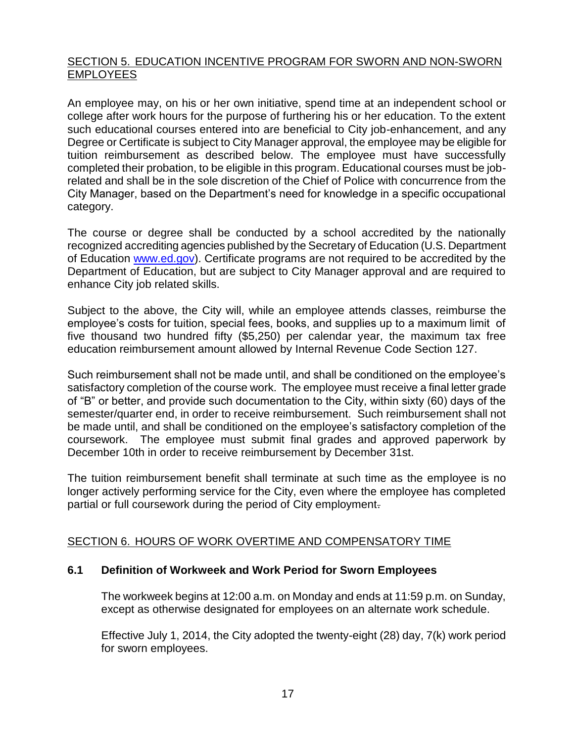### <span id="page-16-0"></span>SECTION 5. EDUCATION INCENTIVE PROGRAM FOR SWORN AND NON-SWORN EMPLOYEES

An employee may, on his or her own initiative, spend time at an independent school or college after work hours for the purpose of furthering his or her education. To the extent such educational courses entered into are beneficial to City job-enhancement, and any Degree or Certificate is subject to City Manager approval, the employee may be eligible for tuition reimbursement as described below. The employee must have successfully completed their probation, to be eligible in this program. Educational courses must be jobrelated and shall be in the sole discretion of the Chief of Police with concurrence from the City Manager, based on the Department's need for knowledge in a specific occupational category.

The course or degree shall be conducted by a school accredited by the nationally recognized accrediting agencies published by the Secretary of Education (U.S. Department of Education [www.ed.gov\)](http://www.ed.gov/). Certificate programs are not required to be accredited by the Department of Education, but are subject to City Manager approval and are required to enhance City job related skills.

Subject to the above, the City will, while an employee attends classes, reimburse the employee's costs for tuition, special fees, books, and supplies up to a maximum limit of five thousand two hundred fifty (\$5,250) per calendar year, the maximum tax free education reimbursement amount allowed by Internal Revenue Code Section 127.

Such reimbursement shall not be made until, and shall be conditioned on the employee's satisfactory completion of the course work. The employee must receive a final letter grade of "B" or better, and provide such documentation to the City, within sixty (60) days of the semester/quarter end, in order to receive reimbursement. Such reimbursement shall not be made until, and shall be conditioned on the employee's satisfactory completion of the coursework. The employee must submit final grades and approved paperwork by December 10th in order to receive reimbursement by December 31st.

The tuition reimbursement benefit shall terminate at such time as the employee is no longer actively performing service for the City, even where the employee has completed partial or full coursework during the period of City employment.

#### <span id="page-16-1"></span>SECTION 6. HOURS OF WORK OVERTIME AND COMPENSATORY TIME

#### **6.1 Definition of Workweek and Work Period for Sworn Employees**

The workweek begins at 12:00 a.m. on Monday and ends at 11:59 p.m. on Sunday, except as otherwise designated for employees on an alternate work schedule.

Effective July 1, 2014, the City adopted the twenty-eight (28) day, 7(k) work period for sworn employees.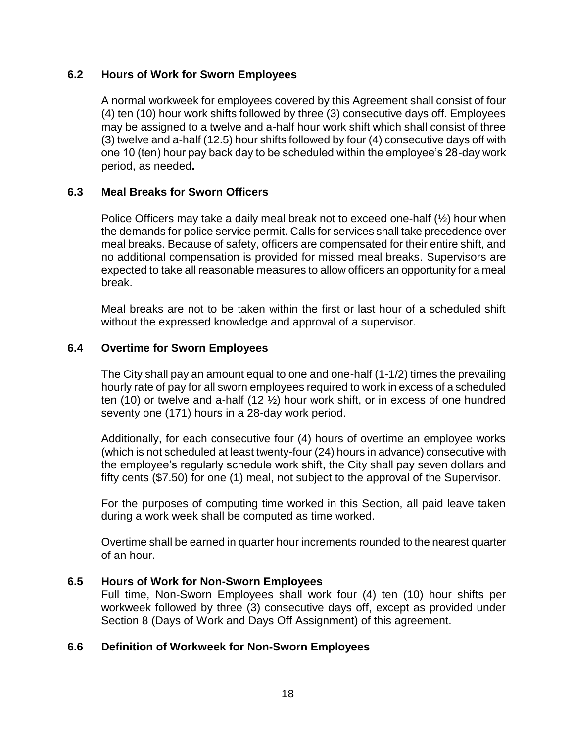#### **6.2 Hours of Work for Sworn Employees**

A normal workweek for employees covered by this Agreement shall consist of four (4) ten (10) hour work shifts followed by three (3) consecutive days off. Employees may be assigned to a twelve and a-half hour work shift which shall consist of three (3) twelve and a-half (12.5) hour shifts followed by four (4) consecutive days off with one 10 (ten) hour pay back day to be scheduled within the employee's 28-day work period, as needed**.**

### **6.3 Meal Breaks for Sworn Officers**

Police Officers may take a daily meal break not to exceed one-half (½) hour when the demands for police service permit. Calls for services shall take precedence over meal breaks. Because of safety, officers are compensated for their entire shift, and no additional compensation is provided for missed meal breaks. Supervisors are expected to take all reasonable measures to allow officers an opportunity for a meal break.

Meal breaks are not to be taken within the first or last hour of a scheduled shift without the expressed knowledge and approval of a supervisor.

### **6.4 Overtime for Sworn Employees**

The City shall pay an amount equal to one and one-half (1-1/2) times the prevailing hourly rate of pay for all sworn employees required to work in excess of a scheduled ten (10) or twelve and a-half (12 ½) hour work shift, or in excess of one hundred seventy one (171) hours in a 28-day work period.

Additionally, for each consecutive four (4) hours of overtime an employee works (which is not scheduled at least twenty-four (24) hours in advance) consecutive with the employee's regularly schedule work shift, the City shall pay seven dollars and fifty cents (\$7.50) for one (1) meal, not subject to the approval of the Supervisor.

For the purposes of computing time worked in this Section, all paid leave taken during a work week shall be computed as time worked.

Overtime shall be earned in quarter hour increments rounded to the nearest quarter of an hour.

#### **6.5 Hours of Work for Non-Sworn Employees**

Full time, Non-Sworn Employees shall work four (4) ten (10) hour shifts per workweek followed by three (3) consecutive days off, except as provided under Section 8 (Days of Work and Days Off Assignment) of this agreement.

#### **6.6 Definition of Workweek for Non-Sworn Employees**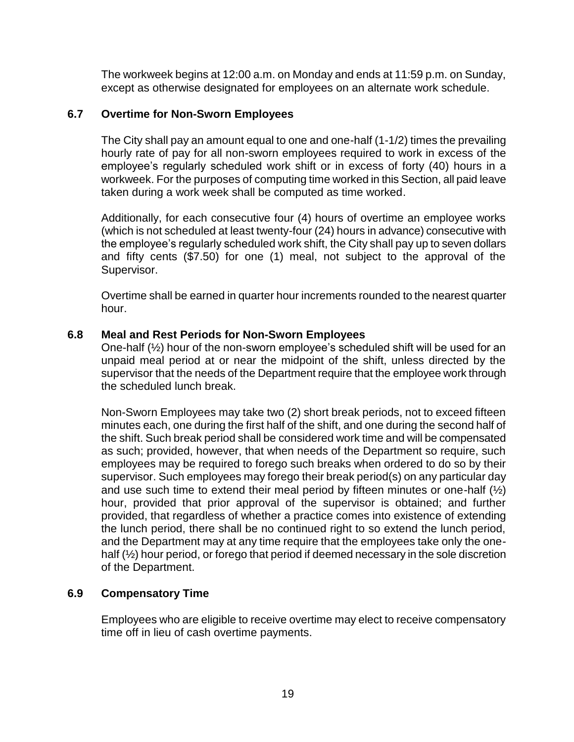The workweek begins at 12:00 a.m. on Monday and ends at 11:59 p.m. on Sunday, except as otherwise designated for employees on an alternate work schedule.

#### **6.7 Overtime for Non-Sworn Employees**

The City shall pay an amount equal to one and one-half (1-1/2) times the prevailing hourly rate of pay for all non-sworn employees required to work in excess of the employee's regularly scheduled work shift or in excess of forty (40) hours in a workweek. For the purposes of computing time worked in this Section, all paid leave taken during a work week shall be computed as time worked.

Additionally, for each consecutive four (4) hours of overtime an employee works (which is not scheduled at least twenty-four (24) hours in advance) consecutive with the employee's regularly scheduled work shift, the City shall pay up to seven dollars and fifty cents (\$7.50) for one (1) meal, not subject to the approval of the Supervisor.

Overtime shall be earned in quarter hour increments rounded to the nearest quarter hour.

### **6.8 Meal and Rest Periods for Non-Sworn Employees**

One-half (½) hour of the non-sworn employee's scheduled shift will be used for an unpaid meal period at or near the midpoint of the shift, unless directed by the supervisor that the needs of the Department require that the employee work through the scheduled lunch break.

Non-Sworn Employees may take two (2) short break periods, not to exceed fifteen minutes each, one during the first half of the shift, and one during the second half of the shift. Such break period shall be considered work time and will be compensated as such; provided, however, that when needs of the Department so require, such employees may be required to forego such breaks when ordered to do so by their supervisor. Such employees may forego their break period(s) on any particular day and use such time to extend their meal period by fifteen minutes or one-half  $(\frac{1}{2})$ hour, provided that prior approval of the supervisor is obtained; and further provided, that regardless of whether a practice comes into existence of extending the lunch period, there shall be no continued right to so extend the lunch period, and the Department may at any time require that the employees take only the onehalf (½) hour period, or forego that period if deemed necessary in the sole discretion of the Department.

#### **6.9 Compensatory Time**

Employees who are eligible to receive overtime may elect to receive compensatory time off in lieu of cash overtime payments.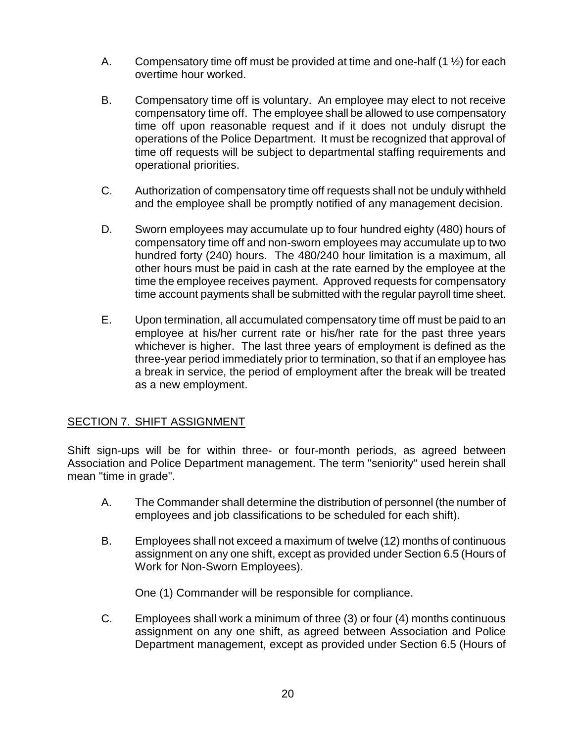- A. Compensatory time off must be provided at time and one-half  $(1 \frac{1}{2})$  for each overtime hour worked.
- B. Compensatory time off is voluntary. An employee may elect to not receive compensatory time off. The employee shall be allowed to use compensatory time off upon reasonable request and if it does not unduly disrupt the operations of the Police Department. It must be recognized that approval of time off requests will be subject to departmental staffing requirements and operational priorities.
- C. Authorization of compensatory time off requests shall not be unduly withheld and the employee shall be promptly notified of any management decision.
- D. Sworn employees may accumulate up to four hundred eighty (480) hours of compensatory time off and non-sworn employees may accumulate up to two hundred forty (240) hours. The 480/240 hour limitation is a maximum, all other hours must be paid in cash at the rate earned by the employee at the time the employee receives payment. Approved requests for compensatory time account payments shall be submitted with the regular payroll time sheet.
- E. Upon termination, all accumulated compensatory time off must be paid to an employee at his/her current rate or his/her rate for the past three years whichever is higher. The last three years of employment is defined as the three-year period immediately prior to termination, so that if an employee has a break in service, the period of employment after the break will be treated as a new employment.

#### <span id="page-19-0"></span>SECTION 7. SHIFT ASSIGNMENT

Shift sign-ups will be for within three- or four-month periods, as agreed between Association and Police Department management. The term "seniority" used herein shall mean "time in grade".

- A. The Commander shall determine the distribution of personnel (the number of employees and job classifications to be scheduled for each shift).
- B. Employees shall not exceed a maximum of twelve (12) months of continuous assignment on any one shift, except as provided under Section 6.5 (Hours of Work for Non-Sworn Employees).

One (1) Commander will be responsible for compliance.

C. Employees shall work a minimum of three (3) or four (4) months continuous assignment on any one shift, as agreed between Association and Police Department management, except as provided under Section 6.5 (Hours of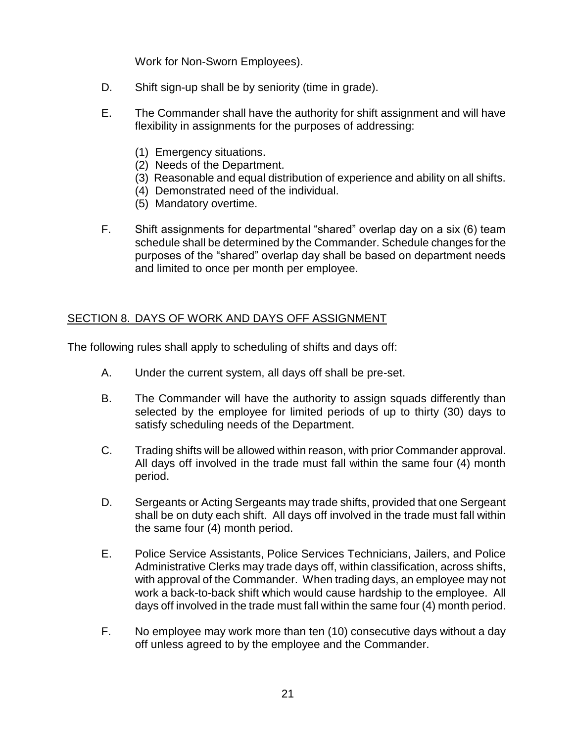Work for Non-Sworn Employees).

- D. Shift sign-up shall be by seniority (time in grade).
- E. The Commander shall have the authority for shift assignment and will have flexibility in assignments for the purposes of addressing:
	- (1) Emergency situations.
	- (2) Needs of the Department.
	- (3) Reasonable and equal distribution of experience and ability on all shifts.
	- (4) Demonstrated need of the individual.
	- (5) Mandatory overtime.
- F. Shift assignments for departmental "shared" overlap day on a six (6) team schedule shall be determined by the Commander. Schedule changes for the purposes of the "shared" overlap day shall be based on department needs and limited to once per month per employee.

# <span id="page-20-0"></span>SECTION 8. DAYS OF WORK AND DAYS OFF ASSIGNMENT

The following rules shall apply to scheduling of shifts and days off:

- A. Under the current system, all days off shall be pre-set.
- B. The Commander will have the authority to assign squads differently than selected by the employee for limited periods of up to thirty (30) days to satisfy scheduling needs of the Department.
- C. Trading shifts will be allowed within reason, with prior Commander approval. All days off involved in the trade must fall within the same four (4) month period.
- D. Sergeants or Acting Sergeants may trade shifts, provided that one Sergeant shall be on duty each shift. All days off involved in the trade must fall within the same four (4) month period.
- E. Police Service Assistants, Police Services Technicians, Jailers, and Police Administrative Clerks may trade days off, within classification, across shifts, with approval of the Commander. When trading days, an employee may not work a back-to-back shift which would cause hardship to the employee. All days off involved in the trade must fall within the same four (4) month period.
- F. No employee may work more than ten (10) consecutive days without a day off unless agreed to by the employee and the Commander.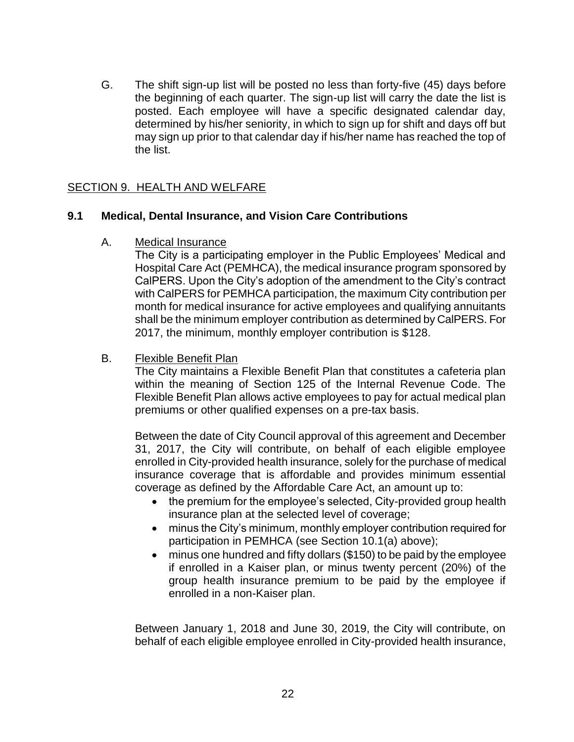G. The shift sign-up list will be posted no less than forty-five (45) days before the beginning of each quarter. The sign-up list will carry the date the list is posted. Each employee will have a specific designated calendar day, determined by his/her seniority, in which to sign up for shift and days off but may sign up prior to that calendar day if his/her name has reached the top of the list.

#### <span id="page-21-0"></span>SECTION 9. HEALTH AND WELFARE

#### **9.1 Medical, Dental Insurance, and Vision Care Contributions**

A. Medical Insurance

The City is a participating employer in the Public Employees' Medical and Hospital Care Act (PEMHCA), the medical insurance program sponsored by CalPERS. Upon the City's adoption of the amendment to the City's contract with CalPERS for PEMHCA participation, the maximum City contribution per month for medical insurance for active employees and qualifying annuitants shall be the minimum employer contribution as determined by CalPERS. For 2017, the minimum, monthly employer contribution is \$128.

B. Flexible Benefit Plan

The City maintains a Flexible Benefit Plan that constitutes a cafeteria plan within the meaning of Section 125 of the Internal Revenue Code. The Flexible Benefit Plan allows active employees to pay for actual medical plan premiums or other qualified expenses on a pre-tax basis.

Between the date of City Council approval of this agreement and December 31, 2017, the City will contribute, on behalf of each eligible employee enrolled in City-provided health insurance, solely for the purchase of medical insurance coverage that is affordable and provides minimum essential coverage as defined by the Affordable Care Act, an amount up to:

- the premium for the employee's selected, City-provided group health insurance plan at the selected level of coverage;
- minus the City's minimum, monthly employer contribution required for participation in PEMHCA (see Section 10.1(a) above);
- minus one hundred and fifty dollars (\$150) to be paid by the employee if enrolled in a Kaiser plan, or minus twenty percent (20%) of the group health insurance premium to be paid by the employee if enrolled in a non-Kaiser plan.

Between January 1, 2018 and June 30, 2019, the City will contribute, on behalf of each eligible employee enrolled in City-provided health insurance,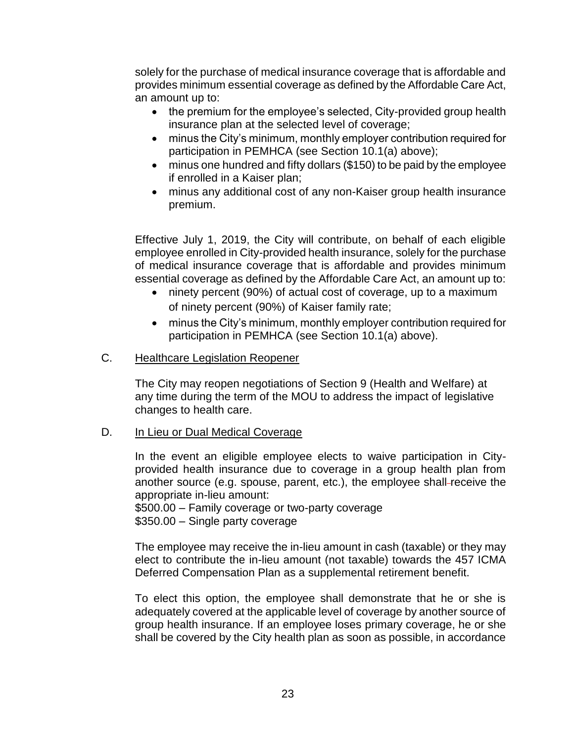solely for the purchase of medical insurance coverage that is affordable and provides minimum essential coverage as defined by the Affordable Care Act, an amount up to:

- the premium for the employee's selected, City-provided group health insurance plan at the selected level of coverage;
- minus the City's minimum, monthly employer contribution required for participation in PEMHCA (see Section 10.1(a) above);
- minus one hundred and fifty dollars (\$150) to be paid by the employee if enrolled in a Kaiser plan;
- minus any additional cost of any non-Kaiser group health insurance premium.

Effective July 1, 2019, the City will contribute, on behalf of each eligible employee enrolled in City-provided health insurance, solely for the purchase of medical insurance coverage that is affordable and provides minimum essential coverage as defined by the Affordable Care Act, an amount up to:

- ninety percent (90%) of actual cost of coverage, up to a maximum of ninety percent (90%) of Kaiser family rate;
- minus the City's minimum, monthly employer contribution required for participation in PEMHCA (see Section 10.1(a) above).
- C. Healthcare Legislation Reopener

The City may reopen negotiations of Section 9 (Health and Welfare) at any time during the term of the MOU to address the impact of legislative changes to health care.

D. **In Lieu or Dual Medical Coverage** 

In the event an eligible employee elects to waive participation in Cityprovided health insurance due to coverage in a group health plan from another source (e.g. spouse, parent, etc.), the employee shall-receive the appropriate in-lieu amount:

\$500.00 – Family coverage or two-party coverage \$350.00 – Single party coverage

The employee may receive the in-lieu amount in cash (taxable) or they may elect to contribute the in-lieu amount (not taxable) towards the 457 ICMA Deferred Compensation Plan as a supplemental retirement benefit.

To elect this option, the employee shall demonstrate that he or she is adequately covered at the applicable level of coverage by another source of group health insurance. If an employee loses primary coverage, he or she shall be covered by the City health plan as soon as possible, in accordance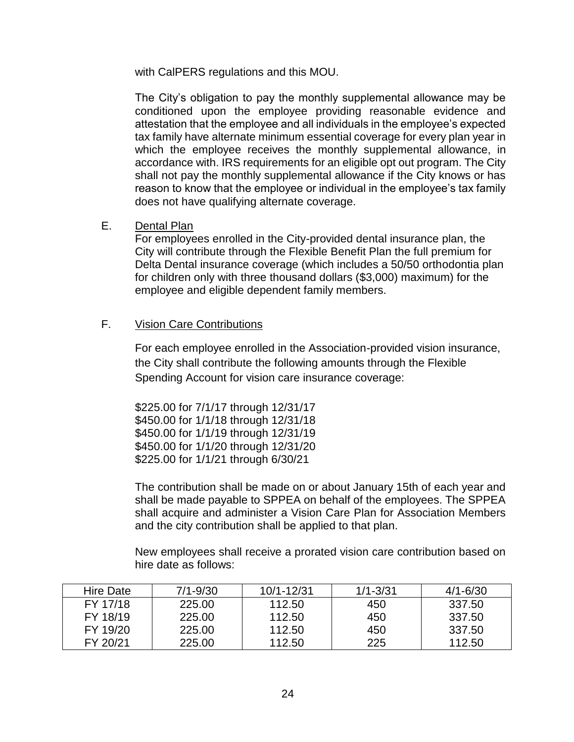with CalPERS regulations and this MOU.

The City's obligation to pay the monthly supplemental allowance may be conditioned upon the employee providing reasonable evidence and attestation that the employee and all individuals in the employee's expected tax family have alternate minimum essential coverage for every plan year in which the employee receives the monthly supplemental allowance, in accordance with. IRS requirements for an eligible opt out program. The City shall not pay the monthly supplemental allowance if the City knows or has reason to know that the employee or individual in the employee's tax family does not have qualifying alternate coverage.

#### E. Dental Plan

For employees enrolled in the City-provided dental insurance plan, the City will contribute through the Flexible Benefit Plan the full premium for Delta Dental insurance coverage (which includes a 50/50 orthodontia plan for children only with three thousand dollars (\$3,000) maximum) for the employee and eligible dependent family members.

### F. Vision Care Contributions

For each employee enrolled in the Association-provided vision insurance, the City shall contribute the following amounts through the Flexible Spending Account for vision care insurance coverage:

\$225.00 for 7/1/17 through 12/31/17 \$450.00 for 1/1/18 through 12/31/18 \$450.00 for 1/1/19 through 12/31/19 \$450.00 for 1/1/20 through 12/31/20 \$225.00 for 1/1/21 through 6/30/21

The contribution shall be made on or about January 15th of each year and shall be made payable to SPPEA on behalf of the employees. The SPPEA shall acquire and administer a Vision Care Plan for Association Members and the city contribution shall be applied to that plan.

New employees shall receive a prorated vision care contribution based on hire date as follows:

| Hire Date | $7/1 - 9/30$ | 10/1-12/31 | $1/1 - 3/31$ | $4/1 - 6/30$ |
|-----------|--------------|------------|--------------|--------------|
| FY 17/18  | 225.00       | 112.50     | 450          | 337.50       |
| FY 18/19  | 225.00       | 112.50     | 450          | 337.50       |
| FY 19/20  | 225.00       | 112.50     | 450          | 337.50       |
| FY 20/21  | 225.00       | 112.50     | 225          | 112.50       |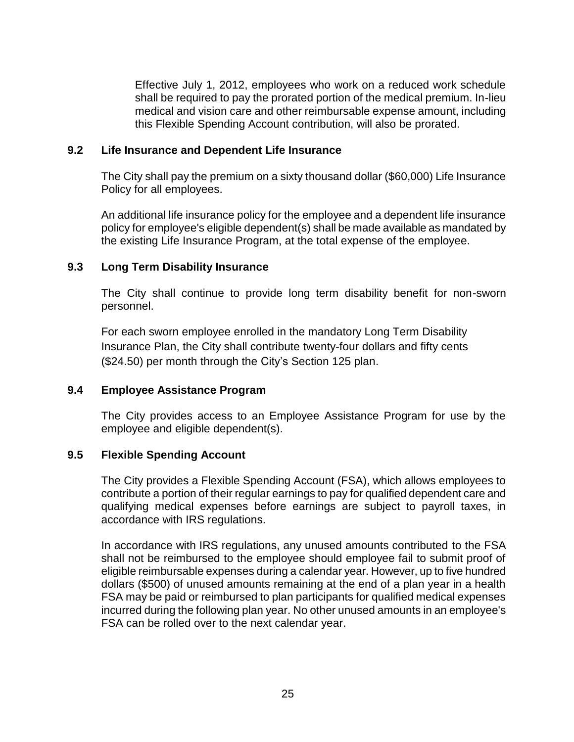Effective July 1, 2012, employees who work on a reduced work schedule shall be required to pay the prorated portion of the medical premium. In-lieu medical and vision care and other reimbursable expense amount, including this Flexible Spending Account contribution, will also be prorated.

#### **9.2 Life Insurance and Dependent Life Insurance**

The City shall pay the premium on a sixty thousand dollar (\$60,000) Life Insurance Policy for all employees.

An additional life insurance policy for the employee and a dependent life insurance policy for employee's eligible dependent(s) shall be made available as mandated by the existing Life Insurance Program, at the total expense of the employee.

#### **9.3 Long Term Disability Insurance**

The City shall continue to provide long term disability benefit for non-sworn personnel.

For each sworn employee enrolled in the mandatory Long Term Disability Insurance Plan, the City shall contribute twenty-four dollars and fifty cents (\$24.50) per month through the City's Section 125 plan.

#### **9.4 Employee Assistance Program**

The City provides access to an Employee Assistance Program for use by the employee and eligible dependent(s).

#### **9.5 Flexible Spending Account**

The City provides a Flexible Spending Account (FSA), which allows employees to contribute a portion of their regular earnings to pay for qualified dependent care and qualifying medical expenses before earnings are subject to payroll taxes, in accordance with IRS regulations.

In accordance with IRS regulations, any unused amounts contributed to the FSA shall not be reimbursed to the employee should employee fail to submit proof of eligible reimbursable expenses during a calendar year. However, up to five hundred dollars (\$500) of unused amounts remaining at the end of a plan year in a health FSA may be paid or reimbursed to plan participants for qualified medical expenses incurred during the following plan year. No other unused amounts in an employee's FSA can be rolled over to the next calendar year.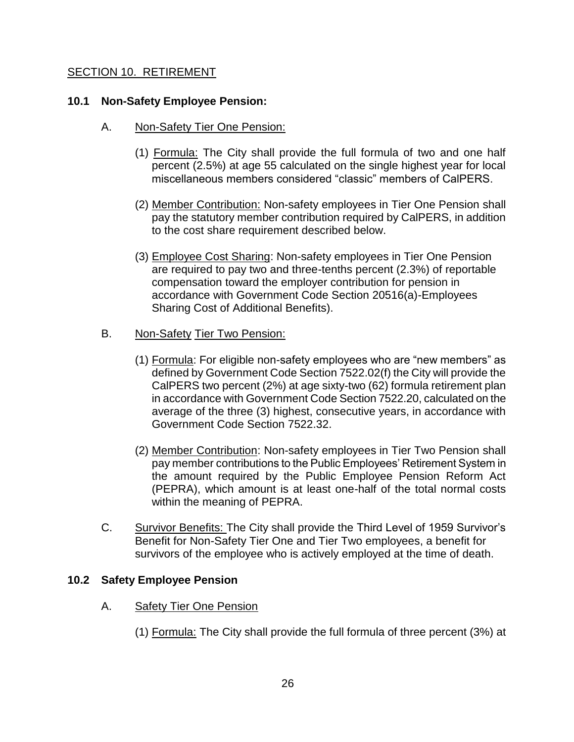#### <span id="page-25-0"></span>SECTION 10. RETIREMENT

#### **10.1 Non-Safety Employee Pension:**

- A. Non-Safety Tier One Pension:
	- (1) Formula: The City shall provide the full formula of two and one half percent (2.5%) at age 55 calculated on the single highest year for local miscellaneous members considered "classic" members of CalPERS.
	- (2) Member Contribution: Non-safety employees in Tier One Pension shall pay the statutory member contribution required by CalPERS, in addition to the cost share requirement described below.
	- (3) Employee Cost Sharing: Non-safety employees in Tier One Pension are required to pay two and three-tenths percent (2.3%) of reportable compensation toward the employer contribution for pension in accordance with Government Code Section 20516(a)-Employees Sharing Cost of Additional Benefits).
- B. Non-Safety Tier Two Pension:
	- (1) Formula: For eligible non-safety employees who are "new members" as defined by Government Code Section 7522.02(f) the City will provide the CalPERS two percent (2%) at age sixty-two (62) formula retirement plan in accordance with Government Code Section 7522.20, calculated on the average of the three (3) highest, consecutive years, in accordance with Government Code Section 7522.32.
	- (2) Member Contribution: Non-safety employees in Tier Two Pension shall pay member contributions to the Public Employees' Retirement System in the amount required by the Public Employee Pension Reform Act (PEPRA), which amount is at least one-half of the total normal costs within the meaning of PEPRA.
- C. Survivor Benefits: The City shall provide the Third Level of 1959 Survivor's Benefit for Non-Safety Tier One and Tier Two employees, a benefit for survivors of the employee who is actively employed at the time of death.

#### **10.2 Safety Employee Pension**

- A. Safety Tier One Pension
	- (1) Formula: The City shall provide the full formula of three percent (3%) at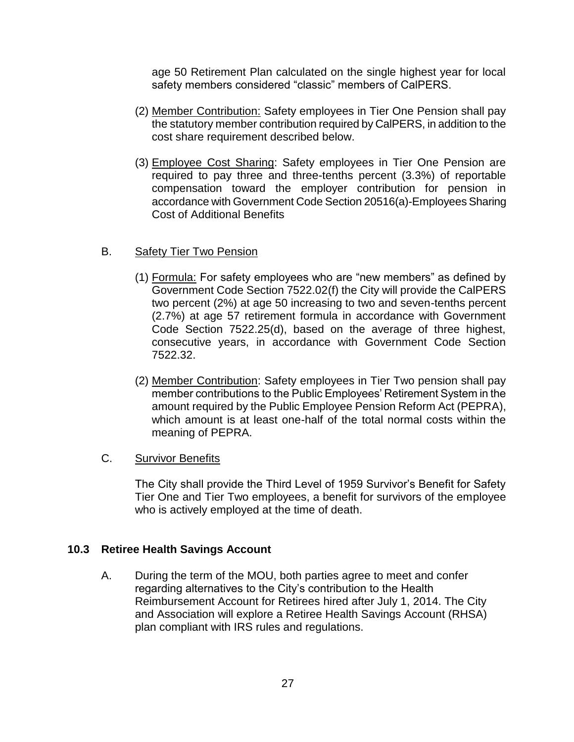age 50 Retirement Plan calculated on the single highest year for local safety members considered "classic" members of CalPERS.

- (2) Member Contribution: Safety employees in Tier One Pension shall pay the statutory member contribution required by CalPERS, in addition to the cost share requirement described below.
- (3) Employee Cost Sharing: Safety employees in Tier One Pension are required to pay three and three-tenths percent (3.3%) of reportable compensation toward the employer contribution for pension in accordance with Government Code Section 20516(a)-Employees Sharing Cost of Additional Benefits

### B. Safety Tier Two Pension

- (1) Formula: For safety employees who are "new members" as defined by Government Code Section 7522.02(f) the City will provide the CalPERS two percent (2%) at age 50 increasing to two and seven-tenths percent (2.7%) at age 57 retirement formula in accordance with Government Code Section 7522.25(d), based on the average of three highest, consecutive years, in accordance with Government Code Section 7522.32.
- (2) Member Contribution: Safety employees in Tier Two pension shall pay member contributions to the Public Employees' Retirement System in the amount required by the Public Employee Pension Reform Act (PEPRA), which amount is at least one-half of the total normal costs within the meaning of PEPRA.

#### C. Survivor Benefits

The City shall provide the Third Level of 1959 Survivor's Benefit for Safety Tier One and Tier Two employees, a benefit for survivors of the employee who is actively employed at the time of death.

#### **10.3 Retiree Health Savings Account**

A. During the term of the MOU, both parties agree to meet and confer regarding alternatives to the City's contribution to the Health Reimbursement Account for Retirees hired after July 1, 2014. The City and Association will explore a Retiree Health Savings Account (RHSA) plan compliant with IRS rules and regulations.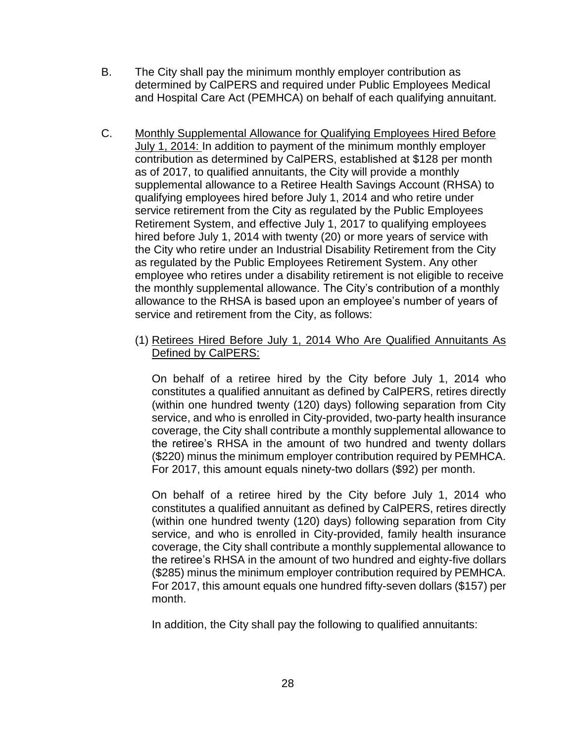- B. The City shall pay the minimum monthly employer contribution as determined by CalPERS and required under Public Employees Medical and Hospital Care Act (PEMHCA) on behalf of each qualifying annuitant.
- C. Monthly Supplemental Allowance for Qualifying Employees Hired Before July 1, 2014: In addition to payment of the minimum monthly employer contribution as determined by CalPERS, established at \$128 per month as of 2017, to qualified annuitants, the City will provide a monthly supplemental allowance to a Retiree Health Savings Account (RHSA) to qualifying employees hired before July 1, 2014 and who retire under service retirement from the City as regulated by the Public Employees Retirement System, and effective July 1, 2017 to qualifying employees hired before July 1, 2014 with twenty (20) or more years of service with the City who retire under an Industrial Disability Retirement from the City as regulated by the Public Employees Retirement System. Any other employee who retires under a disability retirement is not eligible to receive the monthly supplemental allowance. The City's contribution of a monthly allowance to the RHSA is based upon an employee's number of years of service and retirement from the City, as follows:
	- (1) Retirees Hired Before July 1, 2014 Who Are Qualified Annuitants As Defined by CalPERS:

On behalf of a retiree hired by the City before July 1, 2014 who constitutes a qualified annuitant as defined by CalPERS, retires directly (within one hundred twenty (120) days) following separation from City service, and who is enrolled in City-provided, two-party health insurance coverage, the City shall contribute a monthly supplemental allowance to the retiree's RHSA in the amount of two hundred and twenty dollars (\$220) minus the minimum employer contribution required by PEMHCA. For 2017, this amount equals ninety-two dollars (\$92) per month.

On behalf of a retiree hired by the City before July 1, 2014 who constitutes a qualified annuitant as defined by CalPERS, retires directly (within one hundred twenty (120) days) following separation from City service, and who is enrolled in City-provided, family health insurance coverage, the City shall contribute a monthly supplemental allowance to the retiree's RHSA in the amount of two hundred and eighty-five dollars (\$285) minus the minimum employer contribution required by PEMHCA. For 2017, this amount equals one hundred fifty-seven dollars (\$157) per month.

In addition, the City shall pay the following to qualified annuitants: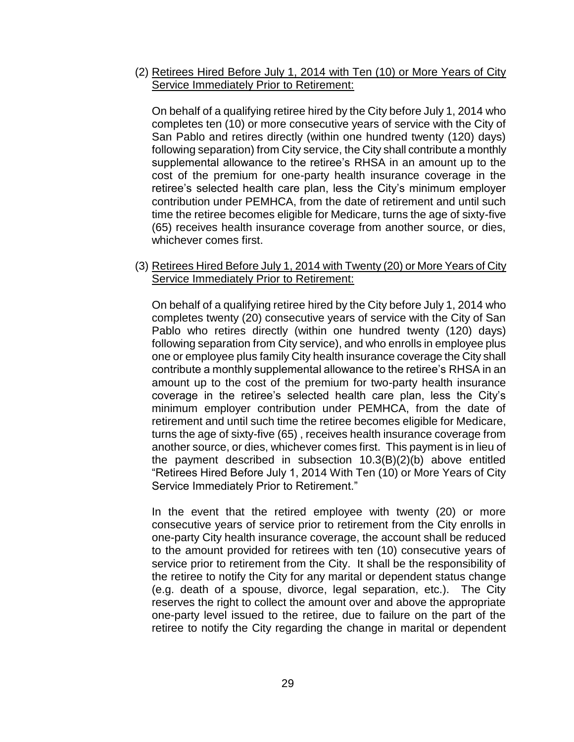(2) Retirees Hired Before July 1, 2014 with Ten (10) or More Years of City Service Immediately Prior to Retirement:

On behalf of a qualifying retiree hired by the City before July 1, 2014 who completes ten (10) or more consecutive years of service with the City of San Pablo and retires directly (within one hundred twenty (120) days) following separation) from City service, the City shall contribute a monthly supplemental allowance to the retiree's RHSA in an amount up to the cost of the premium for one-party health insurance coverage in the retiree's selected health care plan, less the City's minimum employer contribution under PEMHCA, from the date of retirement and until such time the retiree becomes eligible for Medicare, turns the age of sixty-five (65) receives health insurance coverage from another source, or dies, whichever comes first.

(3) Retirees Hired Before July 1, 2014 with Twenty (20) or More Years of City Service Immediately Prior to Retirement:

On behalf of a qualifying retiree hired by the City before July 1, 2014 who completes twenty (20) consecutive years of service with the City of San Pablo who retires directly (within one hundred twenty (120) days) following separation from City service), and who enrolls in employee plus one or employee plus family City health insurance coverage the City shall contribute a monthly supplemental allowance to the retiree's RHSA in an amount up to the cost of the premium for two-party health insurance coverage in the retiree's selected health care plan, less the City's minimum employer contribution under PEMHCA, from the date of retirement and until such time the retiree becomes eligible for Medicare, turns the age of sixty-five (65) , receives health insurance coverage from another source, or dies, whichever comes first. This payment is in lieu of the payment described in subsection 10.3(B)(2)(b) above entitled "Retirees Hired Before July 1, 2014 With Ten (10) or More Years of City Service Immediately Prior to Retirement."

In the event that the retired employee with twenty (20) or more consecutive years of service prior to retirement from the City enrolls in one-party City health insurance coverage, the account shall be reduced to the amount provided for retirees with ten (10) consecutive years of service prior to retirement from the City. It shall be the responsibility of the retiree to notify the City for any marital or dependent status change (e.g. death of a spouse, divorce, legal separation, etc.). The City reserves the right to collect the amount over and above the appropriate one-party level issued to the retiree, due to failure on the part of the retiree to notify the City regarding the change in marital or dependent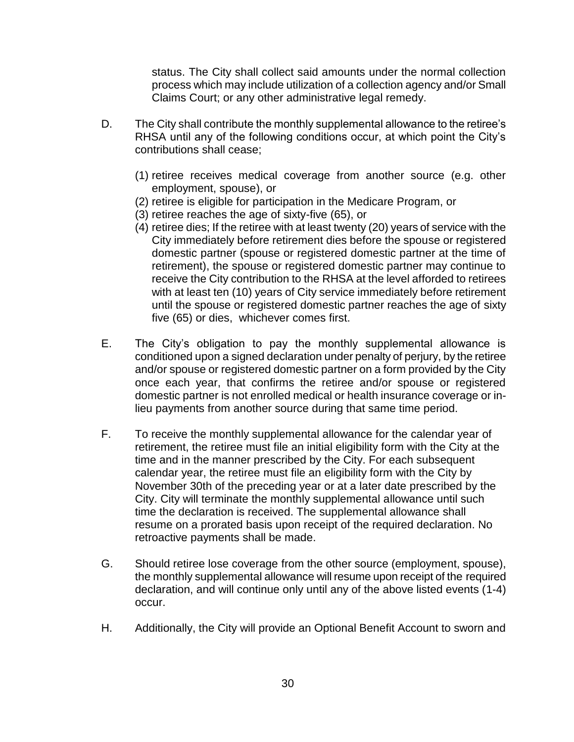status. The City shall collect said amounts under the normal collection process which may include utilization of a collection agency and/or Small Claims Court; or any other administrative legal remedy.

- D. The City shall contribute the monthly supplemental allowance to the retiree's RHSA until any of the following conditions occur, at which point the City's contributions shall cease;
	- (1) retiree receives medical coverage from another source (e.g. other employment, spouse), or
	- (2) retiree is eligible for participation in the Medicare Program, or
	- (3) retiree reaches the age of sixty-five (65), or
	- (4) retiree dies; If the retiree with at least twenty (20) years of service with the City immediately before retirement dies before the spouse or registered domestic partner (spouse or registered domestic partner at the time of retirement), the spouse or registered domestic partner may continue to receive the City contribution to the RHSA at the level afforded to retirees with at least ten (10) years of City service immediately before retirement until the spouse or registered domestic partner reaches the age of sixty five (65) or dies, whichever comes first.
- E. The City's obligation to pay the monthly supplemental allowance is conditioned upon a signed declaration under penalty of perjury, by the retiree and/or spouse or registered domestic partner on a form provided by the City once each year, that confirms the retiree and/or spouse or registered domestic partner is not enrolled medical or health insurance coverage or inlieu payments from another source during that same time period.
- F. To receive the monthly supplemental allowance for the calendar year of retirement, the retiree must file an initial eligibility form with the City at the time and in the manner prescribed by the City. For each subsequent calendar year, the retiree must file an eligibility form with the City by November 30th of the preceding year or at a later date prescribed by the City. City will terminate the monthly supplemental allowance until such time the declaration is received. The supplemental allowance shall resume on a prorated basis upon receipt of the required declaration. No retroactive payments shall be made.
- G. Should retiree lose coverage from the other source (employment, spouse), the monthly supplemental allowance will resume upon receipt of the required declaration, and will continue only until any of the above listed events (1-4) occur.
- H. Additionally, the City will provide an Optional Benefit Account to sworn and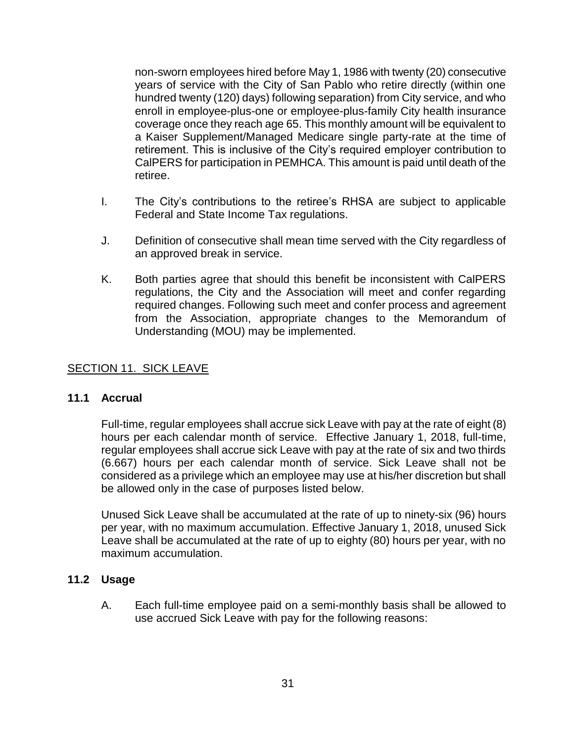non-sworn employees hired before May 1, 1986 with twenty (20) consecutive years of service with the City of San Pablo who retire directly (within one hundred twenty (120) days) following separation) from City service, and who enroll in employee-plus-one or employee-plus-family City health insurance coverage once they reach age 65. This monthly amount will be equivalent to a Kaiser Supplement/Managed Medicare single party-rate at the time of retirement. This is inclusive of the City's required employer contribution to CalPERS for participation in PEMHCA. This amount is paid until death of the retiree.

- I. The City's contributions to the retiree's RHSA are subject to applicable Federal and State Income Tax regulations.
- J. Definition of consecutive shall mean time served with the City regardless of an approved break in service.
- K. Both parties agree that should this benefit be inconsistent with CalPERS regulations, the City and the Association will meet and confer regarding required changes. Following such meet and confer process and agreement from the Association, appropriate changes to the Memorandum of Understanding (MOU) may be implemented.

#### <span id="page-30-0"></span>SECTION 11. SICK LEAVE

#### **11.1 Accrual**

Full-time, regular employees shall accrue sick Leave with pay at the rate of eight (8) hours per each calendar month of service. Effective January 1, 2018, full-time, regular employees shall accrue sick Leave with pay at the rate of six and two thirds (6.667) hours per each calendar month of service. Sick Leave shall not be considered as a privilege which an employee may use at his/her discretion but shall be allowed only in the case of purposes listed below.

Unused Sick Leave shall be accumulated at the rate of up to ninety-six (96) hours per year, with no maximum accumulation. Effective January 1, 2018, unused Sick Leave shall be accumulated at the rate of up to eighty (80) hours per year, with no maximum accumulation.

#### **11.2 Usage**

A. Each full-time employee paid on a semi-monthly basis shall be allowed to use accrued Sick Leave with pay for the following reasons: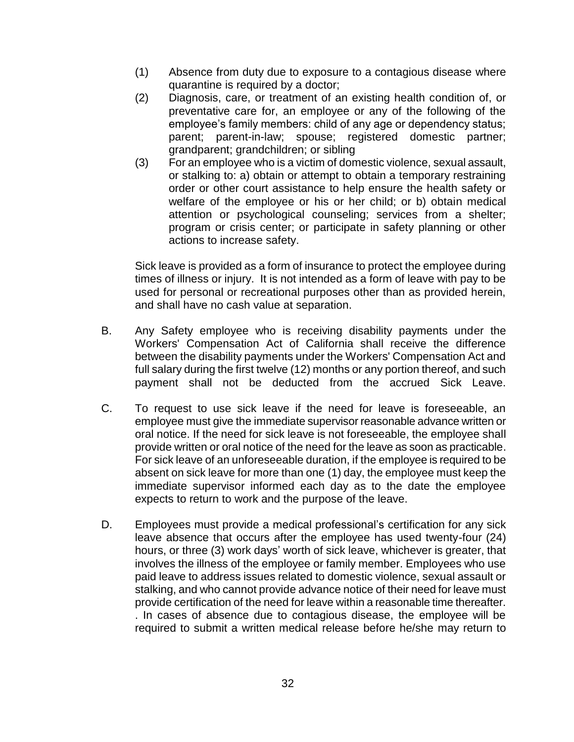- (1) Absence from duty due to exposure to a contagious disease where quarantine is required by a doctor;
- (2) Diagnosis, care, or treatment of an existing health condition of, or preventative care for, an employee or any of the following of the employee's family members: child of any age or dependency status; parent; parent-in-law; spouse; registered domestic partner; grandparent; grandchildren; or sibling
- (3) For an employee who is a victim of domestic violence, sexual assault, or stalking to: a) obtain or attempt to obtain a temporary restraining order or other court assistance to help ensure the health safety or welfare of the employee or his or her child; or b) obtain medical attention or psychological counseling; services from a shelter; program or crisis center; or participate in safety planning or other actions to increase safety.

Sick leave is provided as a form of insurance to protect the employee during times of illness or injury. It is not intended as a form of leave with pay to be used for personal or recreational purposes other than as provided herein, and shall have no cash value at separation.

- B. Any Safety employee who is receiving disability payments under the Workers' Compensation Act of California shall receive the difference between the disability payments under the Workers' Compensation Act and full salary during the first twelve (12) months or any portion thereof, and such payment shall not be deducted from the accrued Sick Leave.
- C. To request to use sick leave if the need for leave is foreseeable, an employee must give the immediate supervisor reasonable advance written or oral notice. If the need for sick leave is not foreseeable, the employee shall provide written or oral notice of the need for the leave as soon as practicable. For sick leave of an unforeseeable duration, if the employee is required to be absent on sick leave for more than one (1) day, the employee must keep the immediate supervisor informed each day as to the date the employee expects to return to work and the purpose of the leave.
- D. Employees must provide a medical professional's certification for any sick leave absence that occurs after the employee has used twenty-four (24) hours, or three (3) work days' worth of sick leave, whichever is greater, that involves the illness of the employee or family member. Employees who use paid leave to address issues related to domestic violence, sexual assault or stalking, and who cannot provide advance notice of their need for leave must provide certification of the need for leave within a reasonable time thereafter. . In cases of absence due to contagious disease, the employee will be required to submit a written medical release before he/she may return to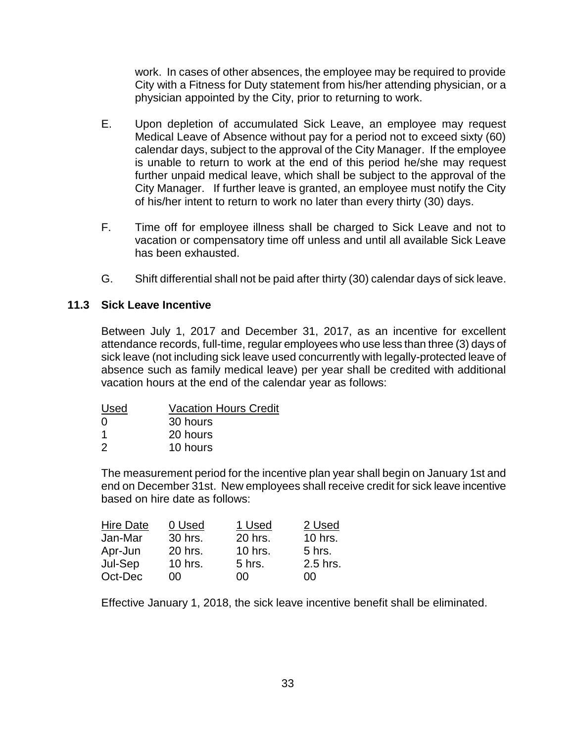work. In cases of other absences, the employee may be required to provide City with a Fitness for Duty statement from his/her attending physician, or a physician appointed by the City, prior to returning to work.

- E. Upon depletion of accumulated Sick Leave, an employee may request Medical Leave of Absence without pay for a period not to exceed sixty (60) calendar days, subject to the approval of the City Manager. If the employee is unable to return to work at the end of this period he/she may request further unpaid medical leave, which shall be subject to the approval of the City Manager. If further leave is granted, an employee must notify the City of his/her intent to return to work no later than every thirty (30) days.
- F. Time off for employee illness shall be charged to Sick Leave and not to vacation or compensatory time off unless and until all available Sick Leave has been exhausted.
- G. Shift differential shall not be paid after thirty (30) calendar days of sick leave.

#### **11.3 Sick Leave Incentive**

Between July 1, 2017 and December 31, 2017, as an incentive for excellent attendance records, full-time, regular employees who use less than three (3) days of sick leave (not including sick leave used concurrently with legally-protected leave of absence such as family medical leave) per year shall be credited with additional vacation hours at the end of the calendar year as follows:

| Used | <b>Vacation Hours Credit</b> |
|------|------------------------------|
| 0    | 30 hours                     |
| -1   | 20 hours                     |
| 2    | 10 hours                     |

The measurement period for the incentive plan year shall begin on January 1st and end on December 31st. New employees shall receive credit for sick leave incentive based on hire date as follows:

| <b>Hire Date</b> | 0 Used    | 1 Used    | 2 Used   |
|------------------|-----------|-----------|----------|
| Jan-Mar          | 30 hrs.   | 20 hrs.   | 10 hrs.  |
| Apr-Jun          | 20 hrs.   | $10$ hrs. | 5 hrs.   |
| Jul-Sep          | $10$ hrs. | 5 hrs.    | 2.5 hrs. |
| Oct-Dec          | 00        | იი        | იი       |

Effective January 1, 2018, the sick leave incentive benefit shall be eliminated.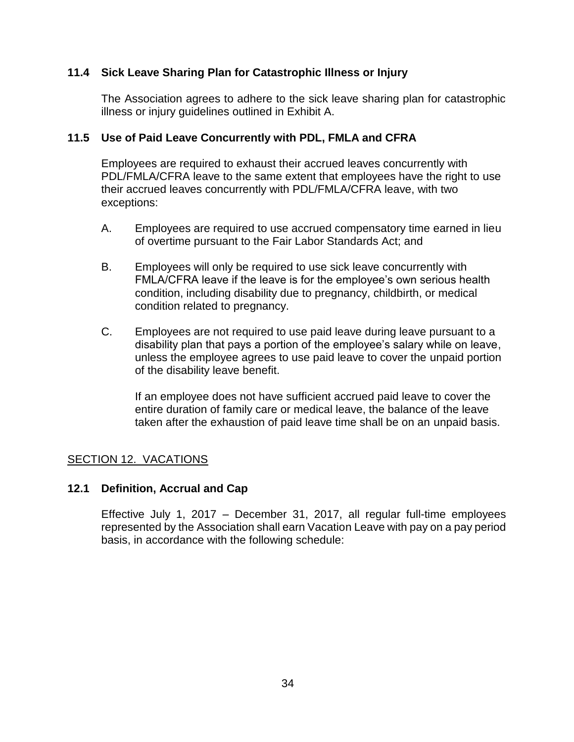#### **11.4 Sick Leave Sharing Plan for Catastrophic Illness or Injury**

The Association agrees to adhere to the sick leave sharing plan for catastrophic illness or injury guidelines outlined in Exhibit A.

#### **11.5 Use of Paid Leave Concurrently with PDL, FMLA and CFRA**

Employees are required to exhaust their accrued leaves concurrently with PDL/FMLA/CFRA leave to the same extent that employees have the right to use their accrued leaves concurrently with PDL/FMLA/CFRA leave, with two exceptions:

- A. Employees are required to use accrued compensatory time earned in lieu of overtime pursuant to the Fair Labor Standards Act; and
- B. Employees will only be required to use sick leave concurrently with FMLA/CFRA leave if the leave is for the employee's own serious health condition, including disability due to pregnancy, childbirth, or medical condition related to pregnancy.
- C. Employees are not required to use paid leave during leave pursuant to a disability plan that pays a portion of the employee's salary while on leave, unless the employee agrees to use paid leave to cover the unpaid portion of the disability leave benefit.

If an employee does not have sufficient accrued paid leave to cover the entire duration of family care or medical leave, the balance of the leave taken after the exhaustion of paid leave time shall be on an unpaid basis.

# <span id="page-33-0"></span>SECTION 12. VACATIONS

#### **12.1 Definition, Accrual and Cap**

Effective July 1, 2017 – December 31, 2017, all regular full-time employees represented by the Association shall earn Vacation Leave with pay on a pay period basis, in accordance with the following schedule: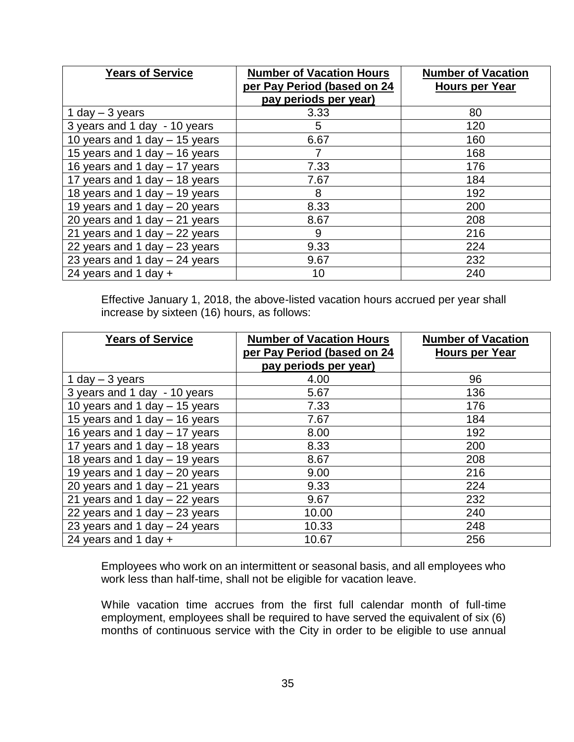| <b>Years of Service</b>         | <b>Number of Vacation Hours</b><br>per Pay Period (based on 24<br>pay periods per year) | <b>Number of Vacation</b><br><b>Hours per Year</b> |
|---------------------------------|-----------------------------------------------------------------------------------------|----------------------------------------------------|
| 1 day $-$ 3 years               | 3.33                                                                                    | 80                                                 |
| 3 years and 1 day - 10 years    | 5                                                                                       | 120                                                |
| 10 years and 1 day - 15 years   | 6.67                                                                                    | 160                                                |
| 15 years and 1 day - 16 years   |                                                                                         | 168                                                |
| 16 years and 1 day - 17 years   | 7.33                                                                                    | 176                                                |
| 17 years and 1 day - 18 years   | 7.67                                                                                    | 184                                                |
| 18 years and 1 day - 19 years   | 8                                                                                       | 192                                                |
| 19 years and 1 day $-$ 20 years | 8.33                                                                                    | 200                                                |
| 20 years and 1 day $-$ 21 years | 8.67                                                                                    | 208                                                |
| 21 years and 1 day - 22 years   | 9                                                                                       | 216                                                |
| 22 years and 1 day $-$ 23 years | 9.33                                                                                    | 224                                                |
| 23 years and 1 day $-$ 24 years | 9.67                                                                                    | 232                                                |
| 24 years and 1 day $+$          | 10                                                                                      | 240                                                |

Effective January 1, 2018, the above-listed vacation hours accrued per year shall increase by sixteen (16) hours, as follows:

| <b>Years of Service</b>         | <b>Number of Vacation Hours</b> | <b>Number of Vacation</b> |
|---------------------------------|---------------------------------|---------------------------|
|                                 | per Pay Period (based on 24     | <b>Hours per Year</b>     |
|                                 | pay periods per year)           |                           |
| 1 day $-$ 3 years               | 4.00                            | 96                        |
| 3 years and 1 day - 10 years    | 5.67                            | 136                       |
| 10 years and 1 day $-15$ years  | 7.33                            | 176                       |
| 15 years and 1 day - 16 years   | 7.67                            | 184                       |
| 16 years and 1 day - 17 years   | 8.00                            | 192                       |
| 17 years and 1 day - 18 years   | 8.33                            | 200                       |
| 18 years and 1 day - 19 years   | 8.67                            | 208                       |
| 19 years and 1 day $-$ 20 years | 9.00                            | 216                       |
| 20 years and 1 day $-$ 21 years | 9.33                            | 224                       |
| 21 years and 1 day $-$ 22 years | 9.67                            | 232                       |
| 22 years and 1 day $-$ 23 years | 10.00                           | 240                       |
| 23 years and 1 day - 24 years   | 10.33                           | 248                       |
| 24 years and 1 day $+$          | 10.67                           | 256                       |

Employees who work on an intermittent or seasonal basis, and all employees who work less than half-time, shall not be eligible for vacation leave.

While vacation time accrues from the first full calendar month of full-time employment, employees shall be required to have served the equivalent of six (6) months of continuous service with the City in order to be eligible to use annual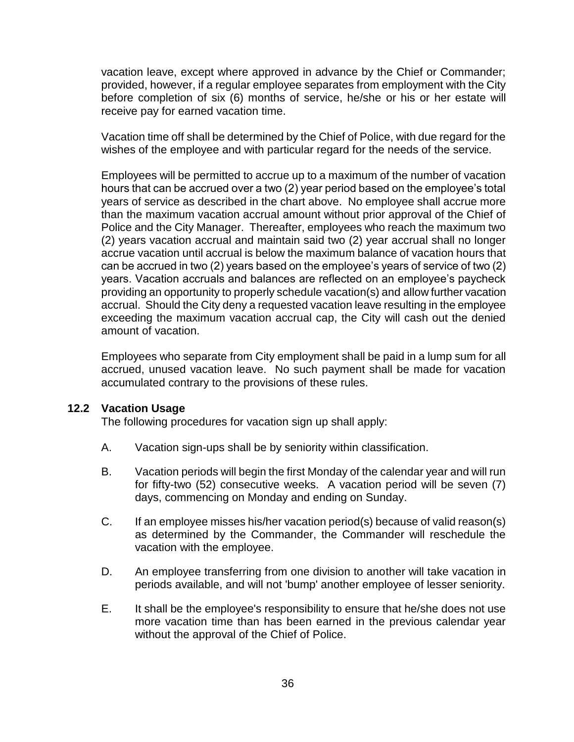vacation leave, except where approved in advance by the Chief or Commander; provided, however, if a regular employee separates from employment with the City before completion of six (6) months of service, he/she or his or her estate will receive pay for earned vacation time.

Vacation time off shall be determined by the Chief of Police, with due regard for the wishes of the employee and with particular regard for the needs of the service.

Employees will be permitted to accrue up to a maximum of the number of vacation hours that can be accrued over a two (2) year period based on the employee's total years of service as described in the chart above. No employee shall accrue more than the maximum vacation accrual amount without prior approval of the Chief of Police and the City Manager. Thereafter, employees who reach the maximum two (2) years vacation accrual and maintain said two (2) year accrual shall no longer accrue vacation until accrual is below the maximum balance of vacation hours that can be accrued in two (2) years based on the employee's years of service of two (2) years. Vacation accruals and balances are reflected on an employee's paycheck providing an opportunity to properly schedule vacation(s) and allow further vacation accrual. Should the City deny a requested vacation leave resulting in the employee exceeding the maximum vacation accrual cap, the City will cash out the denied amount of vacation.

Employees who separate from City employment shall be paid in a lump sum for all accrued, unused vacation leave. No such payment shall be made for vacation accumulated contrary to the provisions of these rules.

#### **12.2 Vacation Usage**

The following procedures for vacation sign up shall apply:

- A. Vacation sign-ups shall be by seniority within classification.
- B. Vacation periods will begin the first Monday of the calendar year and will run for fifty-two (52) consecutive weeks. A vacation period will be seven (7) days, commencing on Monday and ending on Sunday.
- C. If an employee misses his/her vacation period(s) because of valid reason(s) as determined by the Commander, the Commander will reschedule the vacation with the employee.
- D. An employee transferring from one division to another will take vacation in periods available, and will not 'bump' another employee of lesser seniority.
- E. It shall be the employee's responsibility to ensure that he/she does not use more vacation time than has been earned in the previous calendar year without the approval of the Chief of Police.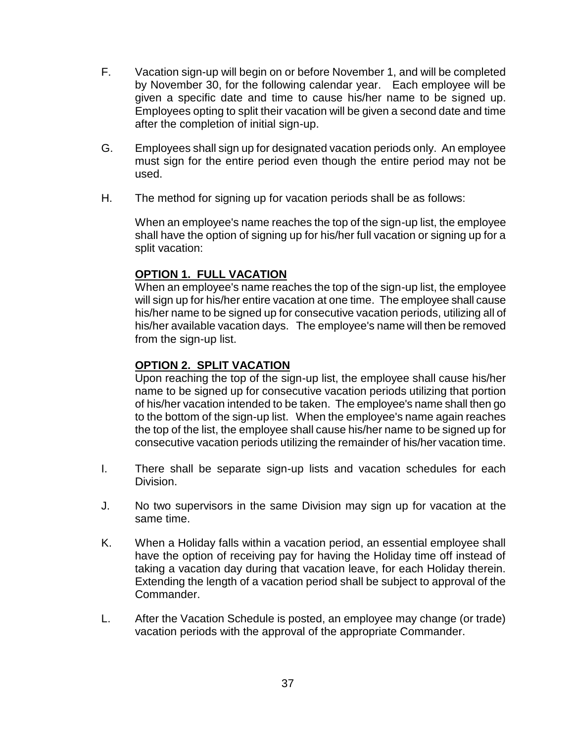- F. Vacation sign-up will begin on or before November 1, and will be completed by November 30, for the following calendar year. Each employee will be given a specific date and time to cause his/her name to be signed up. Employees opting to split their vacation will be given a second date and time after the completion of initial sign-up.
- G. Employees shall sign up for designated vacation periods only. An employee must sign for the entire period even though the entire period may not be used.
- H. The method for signing up for vacation periods shall be as follows:

When an employee's name reaches the top of the sign-up list, the employee shall have the option of signing up for his/her full vacation or signing up for a split vacation:

### **OPTION 1. FULL VACATION**

When an employee's name reaches the top of the sign-up list, the employee will sign up for his/her entire vacation at one time. The employee shall cause his/her name to be signed up for consecutive vacation periods, utilizing all of his/her available vacation days. The employee's name will then be removed from the sign-up list.

### **OPTION 2. SPLIT VACATION**

Upon reaching the top of the sign-up list, the employee shall cause his/her name to be signed up for consecutive vacation periods utilizing that portion of his/her vacation intended to be taken. The employee's name shall then go to the bottom of the sign-up list. When the employee's name again reaches the top of the list, the employee shall cause his/her name to be signed up for consecutive vacation periods utilizing the remainder of his/her vacation time.

- I. There shall be separate sign-up lists and vacation schedules for each Division.
- J. No two supervisors in the same Division may sign up for vacation at the same time.
- K. When a Holiday falls within a vacation period, an essential employee shall have the option of receiving pay for having the Holiday time off instead of taking a vacation day during that vacation leave, for each Holiday therein. Extending the length of a vacation period shall be subject to approval of the Commander.
- L. After the Vacation Schedule is posted, an employee may change (or trade) vacation periods with the approval of the appropriate Commander.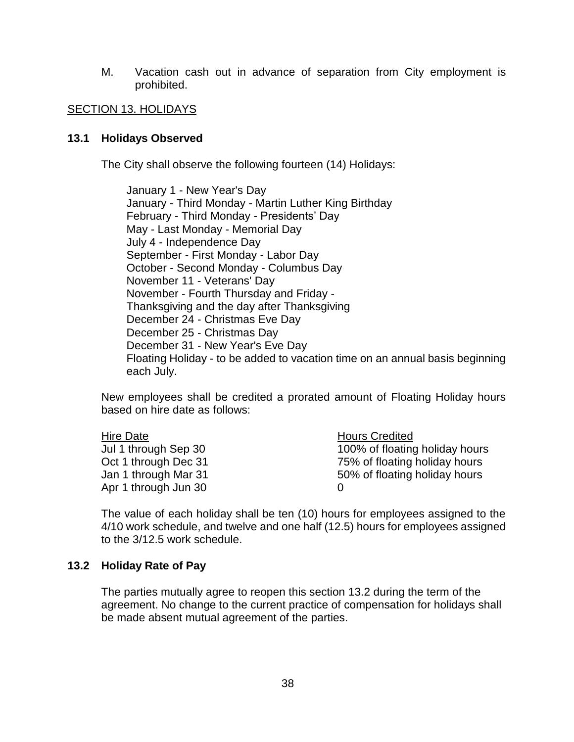M. Vacation cash out in advance of separation from City employment is prohibited.

#### <span id="page-37-0"></span>SECTION 13. HOLIDAYS

#### **13.1 Holidays Observed**

The City shall observe the following fourteen (14) Holidays:

January 1 - New Year's Day January - Third Monday - Martin Luther King Birthday February - Third Monday - Presidents' Day May - Last Monday - Memorial Day July 4 - Independence Day September - First Monday - Labor Day October - Second Monday - Columbus Day November 11 - Veterans' Day November - Fourth Thursday and Friday - Thanksgiving and the day after Thanksgiving December 24 - Christmas Eve Day December 25 - Christmas Day December 31 - New Year's Eve Day Floating Holiday - to be added to vacation time on an annual basis beginning each July.

New employees shall be credited a prorated amount of Floating Holiday hours based on hire date as follows:

| Hire Date            | <b>Hours Credited</b>          |
|----------------------|--------------------------------|
| Jul 1 through Sep 30 | 100% of floating holiday hours |
| Oct 1 through Dec 31 | 75% of floating holiday hours  |
| Jan 1 through Mar 31 | 50% of floating holiday hours  |
| Apr 1 through Jun 30 |                                |

The value of each holiday shall be ten (10) hours for employees assigned to the 4/10 work schedule, and twelve and one half (12.5) hours for employees assigned to the 3/12.5 work schedule.

#### **13.2 Holiday Rate of Pay**

The parties mutually agree to reopen this section 13.2 during the term of the agreement. No change to the current practice of compensation for holidays shall be made absent mutual agreement of the parties.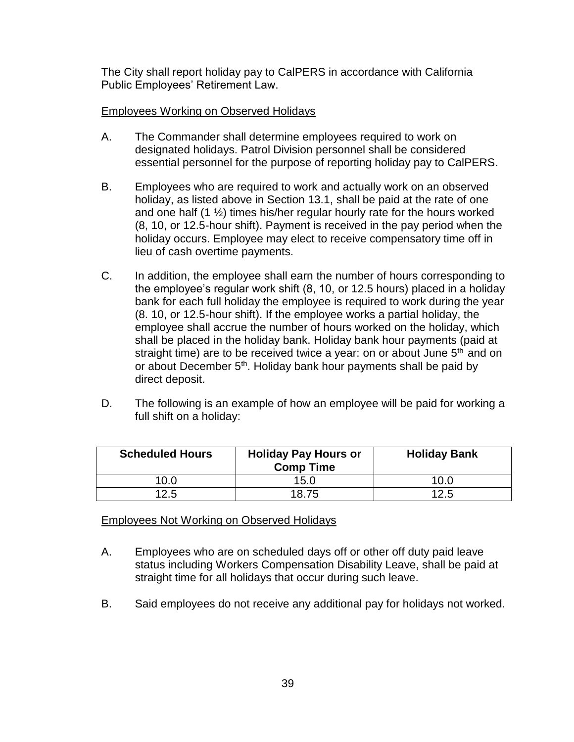The City shall report holiday pay to CalPERS in accordance with California Public Employees' Retirement Law.

#### Employees Working on Observed Holidays

- A. The Commander shall determine employees required to work on designated holidays. Patrol Division personnel shall be considered essential personnel for the purpose of reporting holiday pay to CalPERS.
- B. Employees who are required to work and actually work on an observed holiday, as listed above in Section 13.1, shall be paid at the rate of one and one half (1 ½) times his/her regular hourly rate for the hours worked (8, 10, or 12.5-hour shift). Payment is received in the pay period when the holiday occurs. Employee may elect to receive compensatory time off in lieu of cash overtime payments.
- C. In addition, the employee shall earn the number of hours corresponding to the employee's regular work shift (8, 10, or 12.5 hours) placed in a holiday bank for each full holiday the employee is required to work during the year (8. 10, or 12.5-hour shift). If the employee works a partial holiday, the employee shall accrue the number of hours worked on the holiday, which shall be placed in the holiday bank. Holiday bank hour payments (paid at straight time) are to be received twice a year: on or about June  $5<sup>th</sup>$  and on or about December 5<sup>th</sup>. Holiday bank hour payments shall be paid by direct deposit.
- D. The following is an example of how an employee will be paid for working a full shift on a holiday:

| <b>Scheduled Hours</b> | <b>Holiday Pay Hours or</b><br><b>Comp Time</b> | <b>Holiday Bank</b> |
|------------------------|-------------------------------------------------|---------------------|
| 10.0                   | 15.0                                            | 10.0                |
| 12.5                   | 18.75                                           | 12.5                |

#### Employees Not Working on Observed Holidays

- A. Employees who are on scheduled days off or other off duty paid leave status including Workers Compensation Disability Leave, shall be paid at straight time for all holidays that occur during such leave.
- B. Said employees do not receive any additional pay for holidays not worked.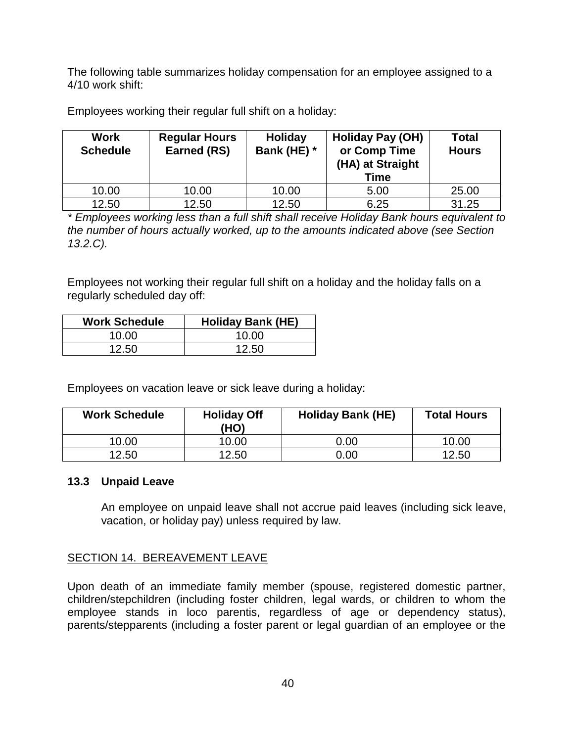The following table summarizes holiday compensation for an employee assigned to a 4/10 work shift:

Employees working their regular full shift on a holiday:

| <b>Work</b><br><b>Schedule</b> | <b>Regular Hours</b><br>Earned (RS) | Holiday<br>Bank (HE) * | <b>Holiday Pay (OH)</b><br>or Comp Time<br>(HA) at Straight<br><b>Time</b> | <b>Total</b><br><b>Hours</b> |
|--------------------------------|-------------------------------------|------------------------|----------------------------------------------------------------------------|------------------------------|
| 10.00                          | 10.00                               | 10.00                  | 5.00                                                                       | 25.00                        |
| 12.50                          | 12.50                               | 12.50                  | 6.25                                                                       | 31.25                        |

*\* Employees working less than a full shift shall receive Holiday Bank hours equivalent to the number of hours actually worked, up to the amounts indicated above (see Section 13.2.C).*

Employees not working their regular full shift on a holiday and the holiday falls on a regularly scheduled day off:

| <b>Work Schedule</b> | <b>Holiday Bank (HE)</b> |
|----------------------|--------------------------|
| 10.00                | 10.00                    |
| 12.50                | 12.50                    |

Employees on vacation leave or sick leave during a holiday:

| <b>Work Schedule</b> | <b>Holiday Off</b><br>(HO) | <b>Holiday Bank (HE)</b> | <b>Total Hours</b> |
|----------------------|----------------------------|--------------------------|--------------------|
| 10.00                | 10.00                      | $0.00\,$                 | 10.00              |
| 12.50                | 12.50                      | 0.00                     | 12.50              |

#### **13.3 Unpaid Leave**

An employee on unpaid leave shall not accrue paid leaves (including sick leave, vacation, or holiday pay) unless required by law.

#### <span id="page-39-0"></span>SECTION 14. BEREAVEMENT LEAVE

Upon death of an immediate family member (spouse, registered domestic partner, children/stepchildren (including foster children, legal wards, or children to whom the employee stands in loco parentis, regardless of age or dependency status), parents/stepparents (including a foster parent or legal guardian of an employee or the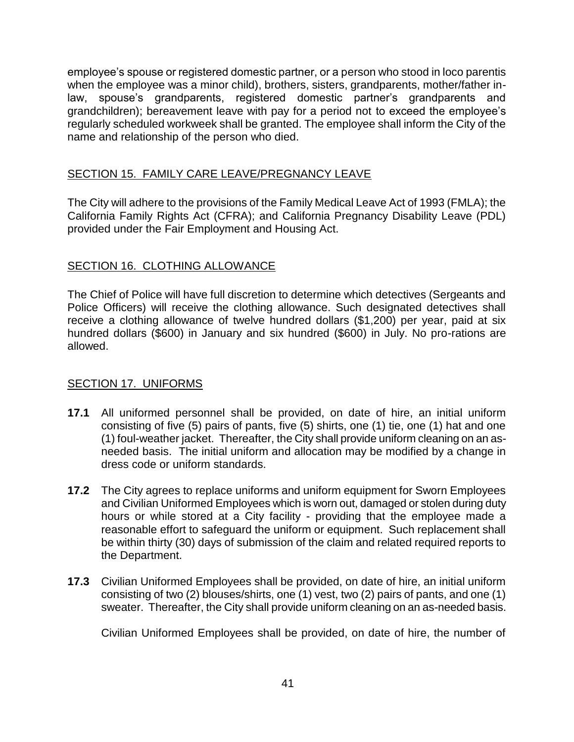employee's spouse or registered domestic partner, or a person who stood in loco parentis when the employee was a minor child), brothers, sisters, grandparents, mother/father inlaw, spouse's grandparents, registered domestic partner's grandparents and grandchildren); bereavement leave with pay for a period not to exceed the employee's regularly scheduled workweek shall be granted. The employee shall inform the City of the name and relationship of the person who died.

#### <span id="page-40-0"></span>SECTION 15. FAMILY CARE LEAVE/PREGNANCY LEAVE

The City will adhere to the provisions of the Family Medical Leave Act of 1993 (FMLA); the California Family Rights Act (CFRA); and California Pregnancy Disability Leave (PDL) provided under the Fair Employment and Housing Act.

### <span id="page-40-1"></span>SECTION 16. CLOTHING ALLOWANCE

The Chief of Police will have full discretion to determine which detectives (Sergeants and Police Officers) will receive the clothing allowance. Such designated detectives shall receive a clothing allowance of twelve hundred dollars (\$1,200) per year, paid at six hundred dollars (\$600) in January and six hundred (\$600) in July. No pro-rations are allowed.

#### <span id="page-40-2"></span>SECTION 17. UNIFORMS

- **17.1** All uniformed personnel shall be provided, on date of hire, an initial uniform consisting of five (5) pairs of pants, five (5) shirts, one (1) tie, one (1) hat and one (1) foul-weather jacket. Thereafter, the City shall provide uniform cleaning on an asneeded basis. The initial uniform and allocation may be modified by a change in dress code or uniform standards.
- **17.2** The City agrees to replace uniforms and uniform equipment for Sworn Employees and Civilian Uniformed Employees which is worn out, damaged or stolen during duty hours or while stored at a City facility - providing that the employee made a reasonable effort to safeguard the uniform or equipment. Such replacement shall be within thirty (30) days of submission of the claim and related required reports to the Department.
- **17.3** Civilian Uniformed Employees shall be provided, on date of hire, an initial uniform consisting of two (2) blouses/shirts, one (1) vest, two (2) pairs of pants, and one (1) sweater. Thereafter, the City shall provide uniform cleaning on an as-needed basis.

Civilian Uniformed Employees shall be provided, on date of hire, the number of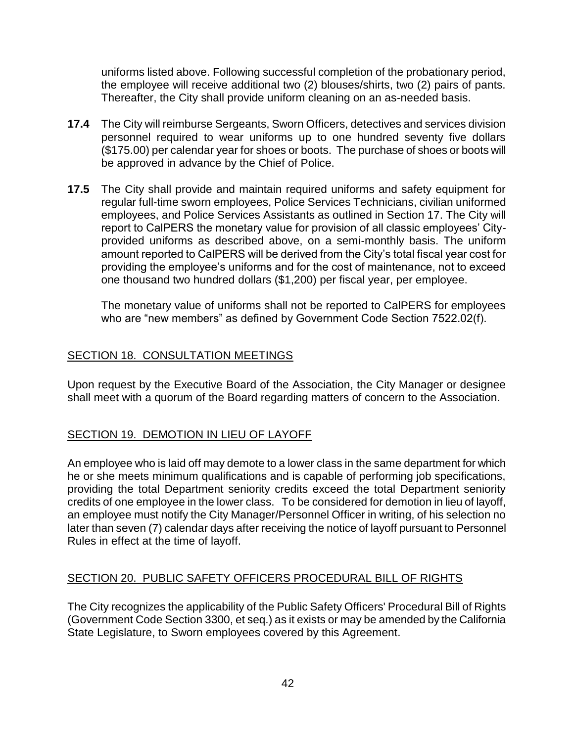uniforms listed above. Following successful completion of the probationary period, the employee will receive additional two (2) blouses/shirts, two (2) pairs of pants. Thereafter, the City shall provide uniform cleaning on an as-needed basis.

- **17.4** The City will reimburse Sergeants, Sworn Officers, detectives and services division personnel required to wear uniforms up to one hundred seventy five dollars (\$175.00) per calendar year for shoes or boots. The purchase of shoes or boots will be approved in advance by the Chief of Police.
- **17.5** The City shall provide and maintain required uniforms and safety equipment for regular full-time sworn employees, Police Services Technicians, civilian uniformed employees, and Police Services Assistants as outlined in Section 17. The City will report to CalPERS the monetary value for provision of all classic employees' Cityprovided uniforms as described above, on a semi-monthly basis. The uniform amount reported to CalPERS will be derived from the City's total fiscal year cost for providing the employee's uniforms and for the cost of maintenance, not to exceed one thousand two hundred dollars (\$1,200) per fiscal year, per employee.

The monetary value of uniforms shall not be reported to CalPERS for employees who are "new members" as defined by Government Code Section 7522.02(f).

### <span id="page-41-0"></span>SECTION 18. CONSULTATION MEETINGS

Upon request by the Executive Board of the Association, the City Manager or designee shall meet with a quorum of the Board regarding matters of concern to the Association.

#### <span id="page-41-1"></span>SECTION 19. DEMOTION IN LIEU OF LAYOFF

An employee who is laid off may demote to a lower class in the same department for which he or she meets minimum qualifications and is capable of performing job specifications, providing the total Department seniority credits exceed the total Department seniority credits of one employee in the lower class. To be considered for demotion in lieu of layoff, an employee must notify the City Manager/Personnel Officer in writing, of his selection no later than seven (7) calendar days after receiving the notice of layoff pursuant to Personnel Rules in effect at the time of layoff.

#### <span id="page-41-2"></span>SECTION 20. PUBLIC SAFETY OFFICERS PROCEDURAL BILL OF RIGHTS

The City recognizes the applicability of the Public Safety Officers' Procedural Bill of Rights (Government Code Section 3300, et seq.) as it exists or may be amended by the California State Legislature, to Sworn employees covered by this Agreement.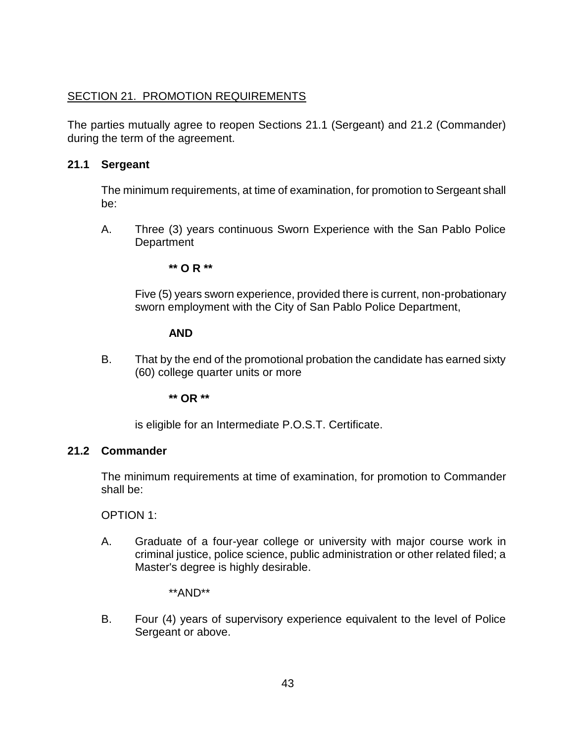# <span id="page-42-0"></span>SECTION 21. PROMOTION REQUIREMENTS

The parties mutually agree to reopen Sections 21.1 (Sergeant) and 21.2 (Commander) during the term of the agreement.

### **21.1 Sergeant**

The minimum requirements, at time of examination, for promotion to Sergeant shall be:

A. Three (3) years continuous Sworn Experience with the San Pablo Police **Department** 

**\*\* O R \*\***

Five (5) years sworn experience, provided there is current, non-probationary sworn employment with the City of San Pablo Police Department,

### **AND**

B. That by the end of the promotional probation the candidate has earned sixty (60) college quarter units or more

**\*\* OR \*\***

is eligible for an Intermediate P.O.S.T. Certificate.

# **21.2 Commander**

The minimum requirements at time of examination, for promotion to Commander shall be:

OPTION 1:

A. Graduate of a four-year college or university with major course work in criminal justice, police science, public administration or other related filed; a Master's degree is highly desirable.

\*\*AND\*\*

B. Four (4) years of supervisory experience equivalent to the level of Police Sergeant or above.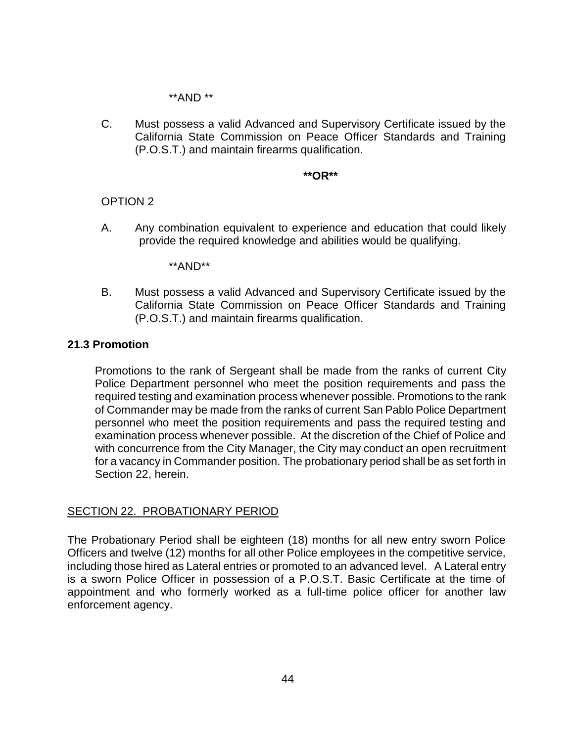\*\*AND \*\*

C. Must possess a valid Advanced and Supervisory Certificate issued by the California State Commission on Peace Officer Standards and Training (P.O.S.T.) and maintain firearms qualification.

#### **\*\*OR\*\***

#### OPTION 2

A. Any combination equivalent to experience and education that could likely provide the required knowledge and abilities would be qualifying.

\*\*AND\*\*

B. Must possess a valid Advanced and Supervisory Certificate issued by the California State Commission on Peace Officer Standards and Training (P.O.S.T.) and maintain firearms qualification.

#### **21.3 Promotion**

Promotions to the rank of Sergeant shall be made from the ranks of current City Police Department personnel who meet the position requirements and pass the required testing and examination process whenever possible. Promotions to the rank of Commander may be made from the ranks of current San Pablo Police Department personnel who meet the position requirements and pass the required testing and examination process whenever possible. At the discretion of the Chief of Police and with concurrence from the City Manager, the City may conduct an open recruitment for a vacancy in Commander position. The probationary period shall be as set forth in Section 22, herein.

#### <span id="page-43-0"></span>SECTION 22. PROBATIONARY PERIOD

The Probationary Period shall be eighteen (18) months for all new entry sworn Police Officers and twelve (12) months for all other Police employees in the competitive service, including those hired as Lateral entries or promoted to an advanced level. A Lateral entry is a sworn Police Officer in possession of a P.O.S.T. Basic Certificate at the time of appointment and who formerly worked as a full-time police officer for another law enforcement agency.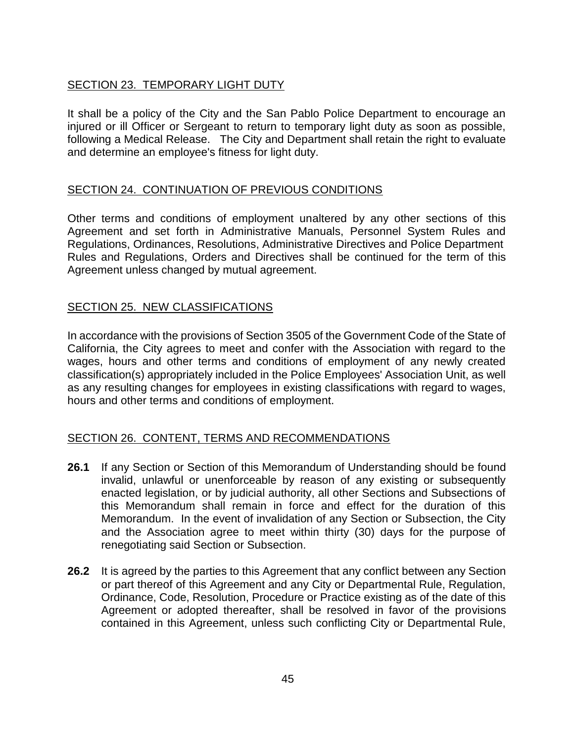# <span id="page-44-0"></span>SECTION 23. TEMPORARY LIGHT DUTY

It shall be a policy of the City and the San Pablo Police Department to encourage an injured or ill Officer or Sergeant to return to temporary light duty as soon as possible, following a Medical Release. The City and Department shall retain the right to evaluate and determine an employee's fitness for light duty.

# <span id="page-44-1"></span>SECTION 24. CONTINUATION OF PREVIOUS CONDITIONS

Other terms and conditions of employment unaltered by any other sections of this Agreement and set forth in Administrative Manuals, Personnel System Rules and Regulations, Ordinances, Resolutions, Administrative Directives and Police Department Rules and Regulations, Orders and Directives shall be continued for the term of this Agreement unless changed by mutual agreement.

#### <span id="page-44-2"></span>SECTION 25. NEW CLASSIFICATIONS

In accordance with the provisions of Section 3505 of the Government Code of the State of California, the City agrees to meet and confer with the Association with regard to the wages, hours and other terms and conditions of employment of any newly created classification(s) appropriately included in the Police Employees' Association Unit, as well as any resulting changes for employees in existing classifications with regard to wages, hours and other terms and conditions of employment.

#### <span id="page-44-3"></span>SECTION 26. CONTENT, TERMS AND RECOMMENDATIONS

- **26.1** If any Section or Section of this Memorandum of Understanding should be found invalid, unlawful or unenforceable by reason of any existing or subsequently enacted legislation, or by judicial authority, all other Sections and Subsections of this Memorandum shall remain in force and effect for the duration of this Memorandum. In the event of invalidation of any Section or Subsection, the City and the Association agree to meet within thirty (30) days for the purpose of renegotiating said Section or Subsection.
- **26.2** It is agreed by the parties to this Agreement that any conflict between any Section or part thereof of this Agreement and any City or Departmental Rule, Regulation, Ordinance, Code, Resolution, Procedure or Practice existing as of the date of this Agreement or adopted thereafter, shall be resolved in favor of the provisions contained in this Agreement, unless such conflicting City or Departmental Rule,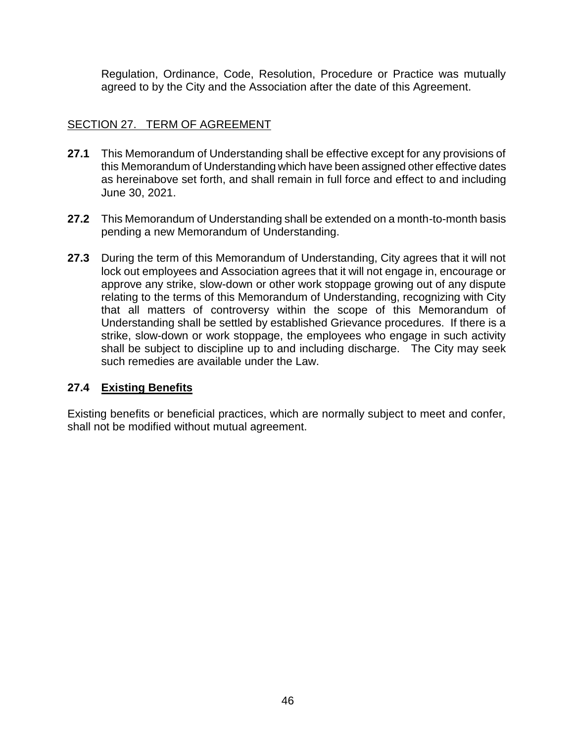Regulation, Ordinance, Code, Resolution, Procedure or Practice was mutually agreed to by the City and the Association after the date of this Agreement.

### <span id="page-45-0"></span>SECTION 27. TERM OF AGREEMENT

- **27.1** This Memorandum of Understanding shall be effective except for any provisions of this Memorandum of Understanding which have been assigned other effective dates as hereinabove set forth, and shall remain in full force and effect to and including June 30, 2021.
- **27.2** This Memorandum of Understanding shall be extended on a month-to-month basis pending a new Memorandum of Understanding.
- **27.3** During the term of this Memorandum of Understanding, City agrees that it will not lock out employees and Association agrees that it will not engage in, encourage or approve any strike, slow-down or other work stoppage growing out of any dispute relating to the terms of this Memorandum of Understanding, recognizing with City that all matters of controversy within the scope of this Memorandum of Understanding shall be settled by established Grievance procedures. If there is a strike, slow-down or work stoppage, the employees who engage in such activity shall be subject to discipline up to and including discharge. The City may seek such remedies are available under the Law.

#### **27.4 Existing Benefits**

Existing benefits or beneficial practices, which are normally subject to meet and confer, shall not be modified without mutual agreement.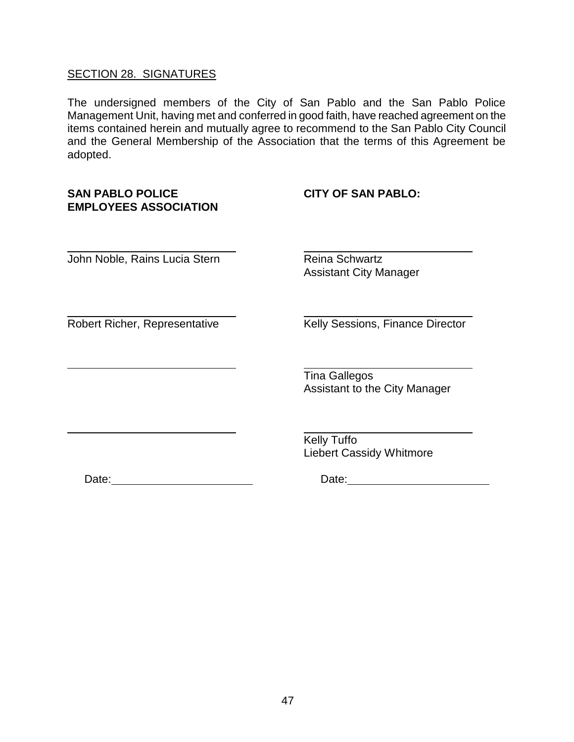#### <span id="page-46-0"></span>SECTION 28. SIGNATURES

The undersigned members of the City of San Pablo and the San Pablo Police Management Unit, having met and conferred in good faith, have reached agreement on the items contained herein and mutually agree to recommend to the San Pablo City Council and the General Membership of the Association that the terms of this Agreement be adopted.

#### **SAN PABLO POLICE CITY OF SAN PABLO: EMPLOYEES ASSOCIATION**

John Noble, Rains Lucia Stern Reina Schwartz

Assistant City Manager

Robert Richer, Representative Kelly Sessions, Finance Director

Tina Gallegos Assistant to the City Manager

Kelly Tuffo Liebert Cassidy Whitmore

Date: Date: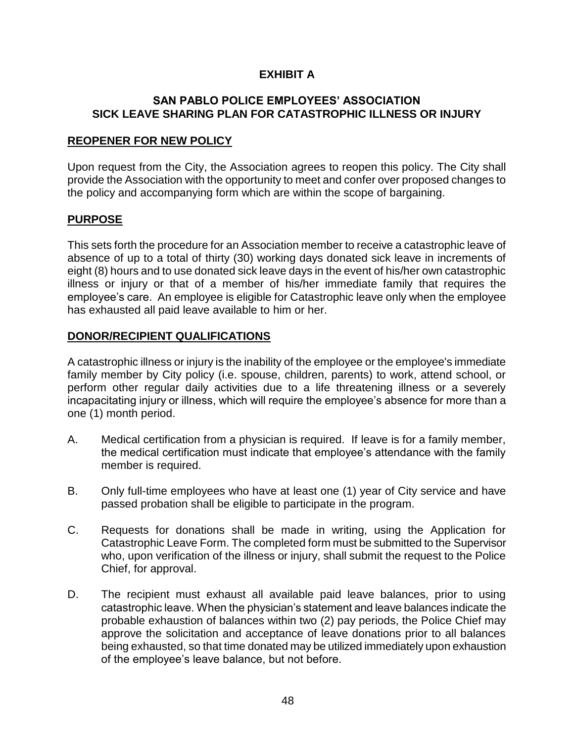### **EXHIBIT A**

#### **SAN PABLO POLICE EMPLOYEES' ASSOCIATION SICK LEAVE SHARING PLAN FOR CATASTROPHIC ILLNESS OR INJURY**

#### **REOPENER FOR NEW POLICY**

Upon request from the City, the Association agrees to reopen this policy. The City shall provide the Association with the opportunity to meet and confer over proposed changes to the policy and accompanying form which are within the scope of bargaining.

### **PURPOSE**

This sets forth the procedure for an Association member to receive a catastrophic leave of absence of up to a total of thirty (30) working days donated sick leave in increments of eight (8) hours and to use donated sick leave days in the event of his/her own catastrophic illness or injury or that of a member of his/her immediate family that requires the employee's care. An employee is eligible for Catastrophic leave only when the employee has exhausted all paid leave available to him or her.

# **DONOR/RECIPIENT QUALIFICATIONS**

A catastrophic illness or injury is the inability of the employee or the employee's immediate family member by City policy (i.e. spouse, children, parents) to work, attend school, or perform other regular daily activities due to a life threatening illness or a severely incapacitating injury or illness, which will require the employee's absence for more than a one (1) month period.

- A. Medical certification from a physician is required. If leave is for a family member, the medical certification must indicate that employee's attendance with the family member is required.
- B. Only full-time employees who have at least one (1) year of City service and have passed probation shall be eligible to participate in the program.
- C. Requests for donations shall be made in writing, using the Application for Catastrophic Leave Form. The completed form must be submitted to the Supervisor who, upon verification of the illness or injury, shall submit the request to the Police Chief, for approval.
- D. The recipient must exhaust all available paid leave balances, prior to using catastrophic leave. When the physician's statement and leave balances indicate the probable exhaustion of balances within two (2) pay periods, the Police Chief may approve the solicitation and acceptance of leave donations prior to all balances being exhausted, so that time donated may be utilized immediately upon exhaustion of the employee's leave balance, but not before.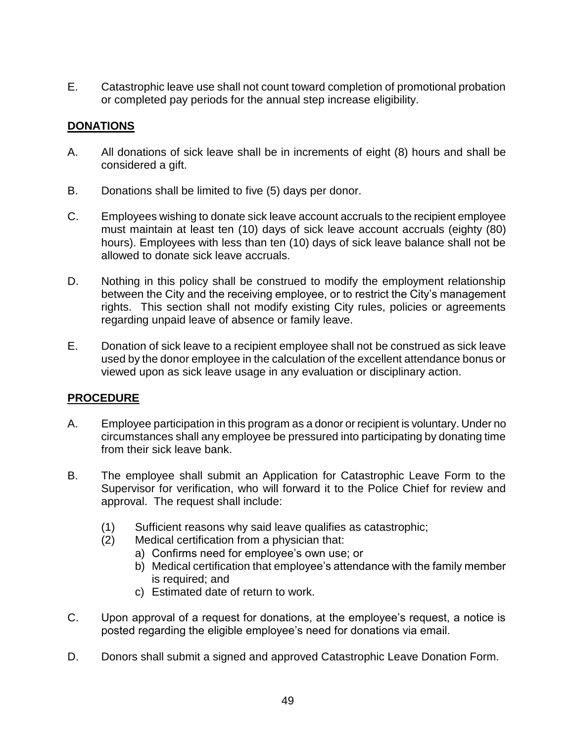E. Catastrophic leave use shall not count toward completion of promotional probation or completed pay periods for the annual step increase eligibility.

# **DONATIONS**

- A. All donations of sick leave shall be in increments of eight (8) hours and shall be considered a gift.
- B. Donations shall be limited to five (5) days per donor.
- C. Employees wishing to donate sick leave account accruals to the recipient employee must maintain at least ten (10) days of sick leave account accruals (eighty (80) hours). Employees with less than ten (10) days of sick leave balance shall not be allowed to donate sick leave accruals.
- D. Nothing in this policy shall be construed to modify the employment relationship between the City and the receiving employee, or to restrict the City's management rights. This section shall not modify existing City rules, policies or agreements regarding unpaid leave of absence or family leave.
- E. Donation of sick leave to a recipient employee shall not be construed as sick leave used by the donor employee in the calculation of the excellent attendance bonus or viewed upon as sick leave usage in any evaluation or disciplinary action.

# **PROCEDURE**

- A. Employee participation in this program as a donor or recipient is voluntary. Under no circumstances shall any employee be pressured into participating by donating time from their sick leave bank.
- B. The employee shall submit an Application for Catastrophic Leave Form to the Supervisor for verification, who will forward it to the Police Chief for review and approval. The request shall include:
	- (1) Sufficient reasons why said leave qualifies as catastrophic;
	- (2) Medical certification from a physician that:
		- a) Confirms need for employee's own use; or
		- b) Medical certification that employee's attendance with the family member is required; and
		- c) Estimated date of return to work.
- C. Upon approval of a request for donations, at the employee's request, a notice is posted regarding the eligible employee's need for donations via email.
- D. Donors shall submit a signed and approved Catastrophic Leave Donation Form.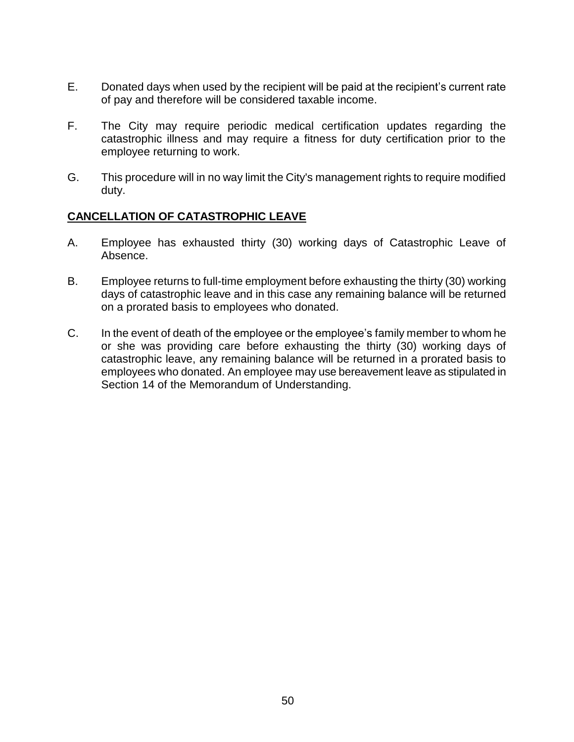- E. Donated days when used by the recipient will be paid at the recipient's current rate of pay and therefore will be considered taxable income.
- F. The City may require periodic medical certification updates regarding the catastrophic illness and may require a fitness for duty certification prior to the employee returning to work.
- G. This procedure will in no way limit the City's management rights to require modified duty.

#### **CANCELLATION OF CATASTROPHIC LEAVE**

- A. Employee has exhausted thirty (30) working days of Catastrophic Leave of Absence.
- B. Employee returns to full-time employment before exhausting the thirty (30) working days of catastrophic leave and in this case any remaining balance will be returned on a prorated basis to employees who donated.
- C. In the event of death of the employee or the employee's family member to whom he or she was providing care before exhausting the thirty (30) working days of catastrophic leave, any remaining balance will be returned in a prorated basis to employees who donated. An employee may use bereavement leave as stipulated in Section 14 of the Memorandum of Understanding.